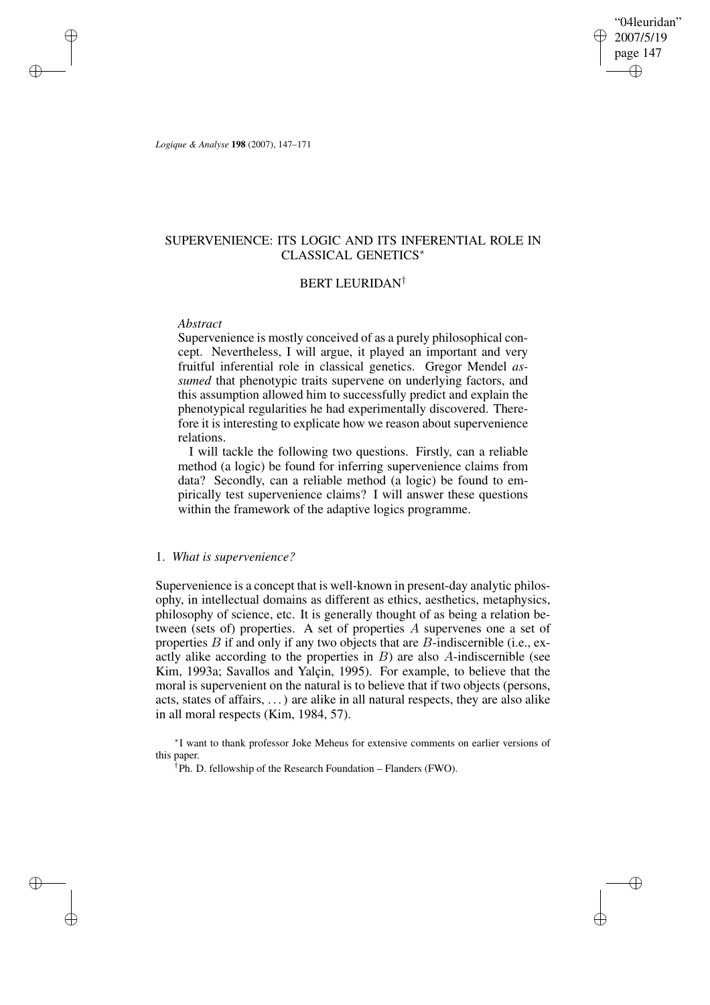"04leuridan" 2007/5/19 page 147 ✐ ✐

✐

✐

*Logique & Analyse* **198** (2007), 147–171

✐

✐

✐

✐

## SUPERVENIENCE: ITS LOGIC AND ITS INFERENTIAL ROLE IN CLASSICAL GENETICS<sup>∗</sup>

## BERT LEURIDAN†

## *Abstract*

Supervenience is mostly conceived of as a purely philosophical concept. Nevertheless, I will argue, it played an important and very fruitful inferential role in classical genetics. Gregor Mendel *assumed* that phenotypic traits supervene on underlying factors, and this assumption allowed him to successfully predict and explain the phenotypical regularities he had experimentally discovered. Therefore it is interesting to explicate how we reason about supervenience relations.

I will tackle the following two questions. Firstly, can a reliable method (a logic) be found for inferring supervenience claims from data? Secondly, can a reliable method (a logic) be found to empirically test supervenience claims? I will answer these questions within the framework of the adaptive logics programme.

## 1. *What is supervenience?*

Supervenience is a concept that is well-known in present-day analytic philosophy, in intellectual domains as different as ethics, aesthetics, metaphysics, philosophy of science, etc. It is generally thought of as being a relation between (sets of) properties. A set of properties A supervenes one a set of properties  $B$  if and only if any two objects that are  $B$ -indiscernible (i.e., exactly alike according to the properties in  $B$ ) are also  $A$ -indiscernible (see Kim, 1993a; Savallos and Yalçin, 1995). For example, to believe that the moral is supervenient on the natural is to believe that if two objects (persons, acts, states of affairs, . . .) are alike in all natural respects, they are also alike in all moral respects (Kim, 1984, 57).

∗ I want to thank professor Joke Meheus for extensive comments on earlier versions of this paper.

† Ph. D. fellowship of the Research Foundation – Flanders (FWO).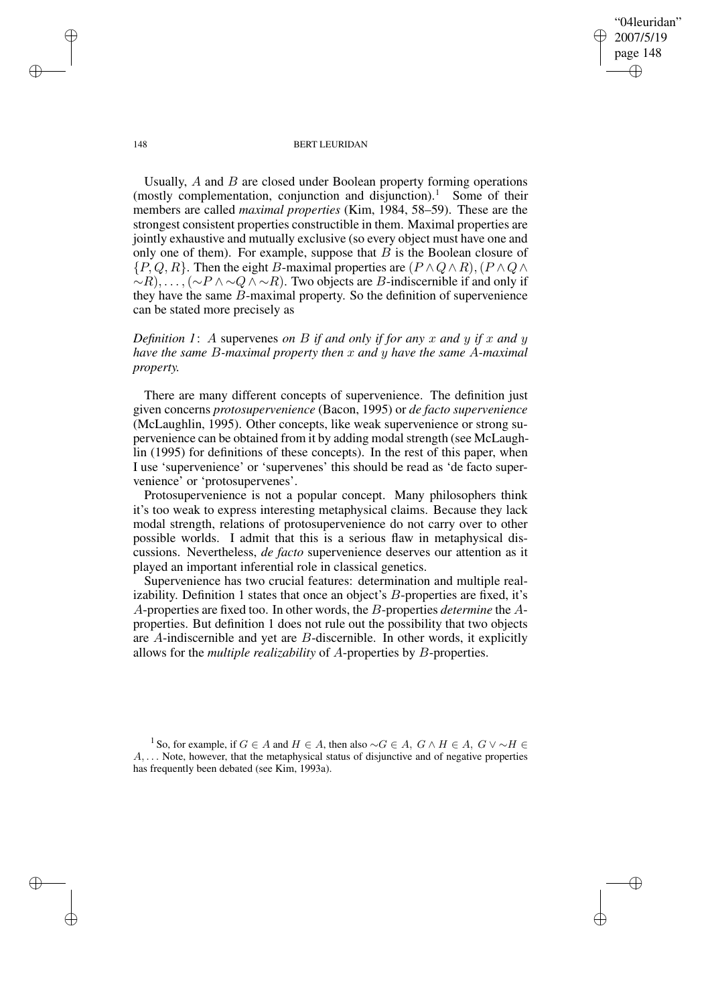"04leuridan" 2007/5/19 page 148 ✐ ✐

✐

✐

#### 148 BERT LEURIDAN

Usually, A and B are closed under Boolean property forming operations (mostly complementation, conjunction and disjunction).<sup>1</sup> Some of their members are called *maximal properties* (Kim, 1984, 58–59). These are the strongest consistent properties constructible in them. Maximal properties are jointly exhaustive and mutually exclusive (so every object must have one and only one of them). For example, suppose that  $B$  is the Boolean closure of  $\{P,Q,R\}$ . Then the eight B-maximal properties are  $(P \wedge Q \wedge R)$ ,  $(P \wedge Q \wedge R)$  $~ \sim R$ ), ...,  $({\sim}P \land {\sim} Q \land {\sim} R)$ . Two objects are B-indiscernible if and only if they have the same B-maximal property. So the definition of supervenience can be stated more precisely as

*Definition* 1: A supervenes *on* B *if* and *only if for* any x and y *if* x and y *have the same* B*-maximal property then* x *and* y *have the same* A*-maximal property.*

There are many different concepts of supervenience. The definition just given concerns *protosupervenience* (Bacon, 1995) or *de facto supervenience* (McLaughlin, 1995). Other concepts, like weak supervenience or strong supervenience can be obtained from it by adding modal strength (see McLaughlin (1995) for definitions of these concepts). In the rest of this paper, when I use 'supervenience' or 'supervenes' this should be read as 'de facto supervenience' or 'protosupervenes'.

Protosupervenience is not a popular concept. Many philosophers think it's too weak to express interesting metaphysical claims. Because they lack modal strength, relations of protosupervenience do not carry over to other possible worlds. I admit that this is a serious flaw in metaphysical discussions. Nevertheless, *de facto* supervenience deserves our attention as it played an important inferential role in classical genetics.

Supervenience has two crucial features: determination and multiple realizability. Definition 1 states that once an object's  $B$ -properties are fixed, it's A-properties are fixed too. In other words, the B-properties *determine* the Aproperties. But definition 1 does not rule out the possibility that two objects are A-indiscernible and yet are B-discernible. In other words, it explicitly allows for the *multiple realizability* of A-properties by B-properties.

<sup>1</sup> So, for example, if  $G \in A$  and  $H \in A$ , then also  $\sim G \in A$ ,  $G \wedge H \in A$ ,  $G \vee \sim H \in A$  $A, \ldots$  Note, however, that the metaphysical status of disjunctive and of negative properties has frequently been debated (see Kim, 1993a).

✐

✐

✐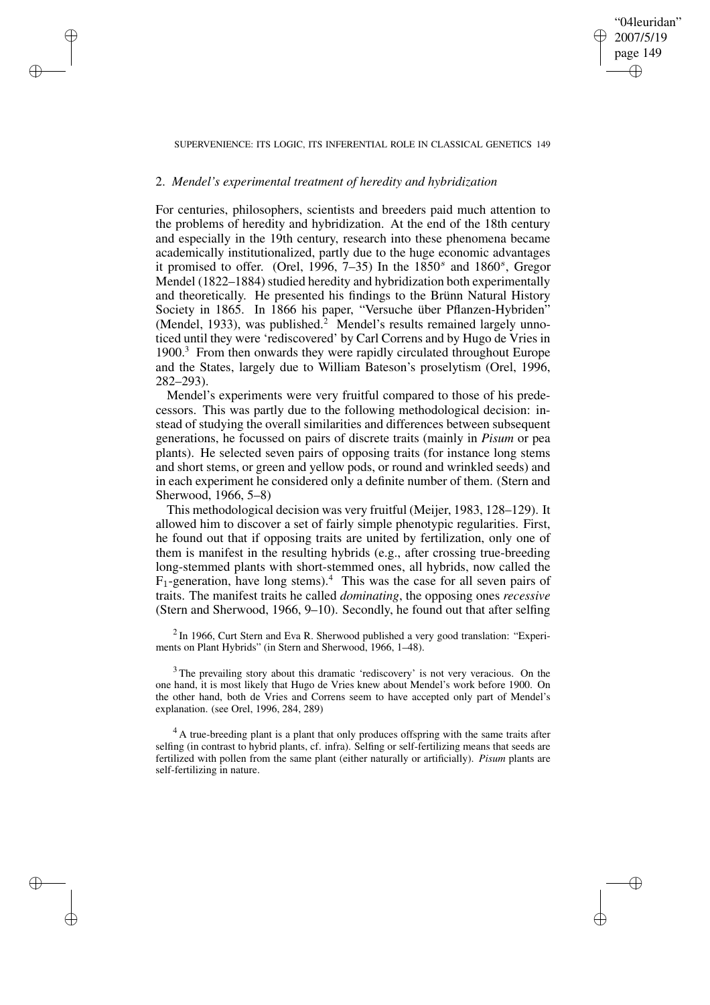# SUPERVENIENCE: ITS LOGIC, ITS INFERENTIAL ROLE IN CLASSICAL GENETICS 149

"04leuridan" 2007/5/19 page 149

✐

✐

✐

✐

## 2. *Mendel's experimental treatment of heredity and hybridization*

✐

✐

✐

✐

For centuries, philosophers, scientists and breeders paid much attention to the problems of heredity and hybridization. At the end of the 18th century and especially in the 19th century, research into these phenomena became academically institutionalized, partly due to the huge economic advantages it promised to offer. (Orel, 1996, 7–35) In the  $1850<sup>s</sup>$  and  $1860<sup>s</sup>$ , Gregor Mendel (1822–1884) studied heredity and hybridization both experimentally and theoretically. He presented his findings to the Brünn Natural History Society in 1865. In 1866 his paper, "Versuche über Pflanzen-Hybriden" (Mendel, 1933), was published.<sup>2</sup> Mendel's results remained largely unnoticed until they were 'rediscovered' by Carl Correns and by Hugo de Vries in 1900.<sup>3</sup> From then onwards they were rapidly circulated throughout Europe and the States, largely due to William Bateson's proselytism (Orel, 1996, 282–293).

Mendel's experiments were very fruitful compared to those of his predecessors. This was partly due to the following methodological decision: instead of studying the overall similarities and differences between subsequent generations, he focussed on pairs of discrete traits (mainly in *Pisum* or pea plants). He selected seven pairs of opposing traits (for instance long stems and short stems, or green and yellow pods, or round and wrinkled seeds) and in each experiment he considered only a definite number of them. (Stern and Sherwood, 1966, 5–8)

This methodological decision was very fruitful (Meijer, 1983, 128–129). It allowed him to discover a set of fairly simple phenotypic regularities. First, he found out that if opposing traits are united by fertilization, only one of them is manifest in the resulting hybrids (e.g., after crossing true-breeding long-stemmed plants with short-stemmed ones, all hybrids, now called the  $F_1$ -generation, have long stems).<sup>4</sup> This was the case for all seven pairs of traits. The manifest traits he called *dominating*, the opposing ones *recessive* (Stern and Sherwood, 1966, 9–10). Secondly, he found out that after selfing

 $2$  In 1966, Curt Stern and Eva R. Sherwood published a very good translation: "Experiments on Plant Hybrids" (in Stern and Sherwood, 1966, 1–48).

<sup>3</sup> The prevailing story about this dramatic 'rediscovery' is not very veracious. On the one hand, it is most likely that Hugo de Vries knew about Mendel's work before 1900. On the other hand, both de Vries and Correns seem to have accepted only part of Mendel's explanation. (see Orel, 1996, 284, 289)

<sup>4</sup> A true-breeding plant is a plant that only produces offspring with the same traits after selfing (in contrast to hybrid plants, cf. infra). Selfing or self-fertilizing means that seeds are fertilized with pollen from the same plant (either naturally or artificially). *Pisum* plants are self-fertilizing in nature.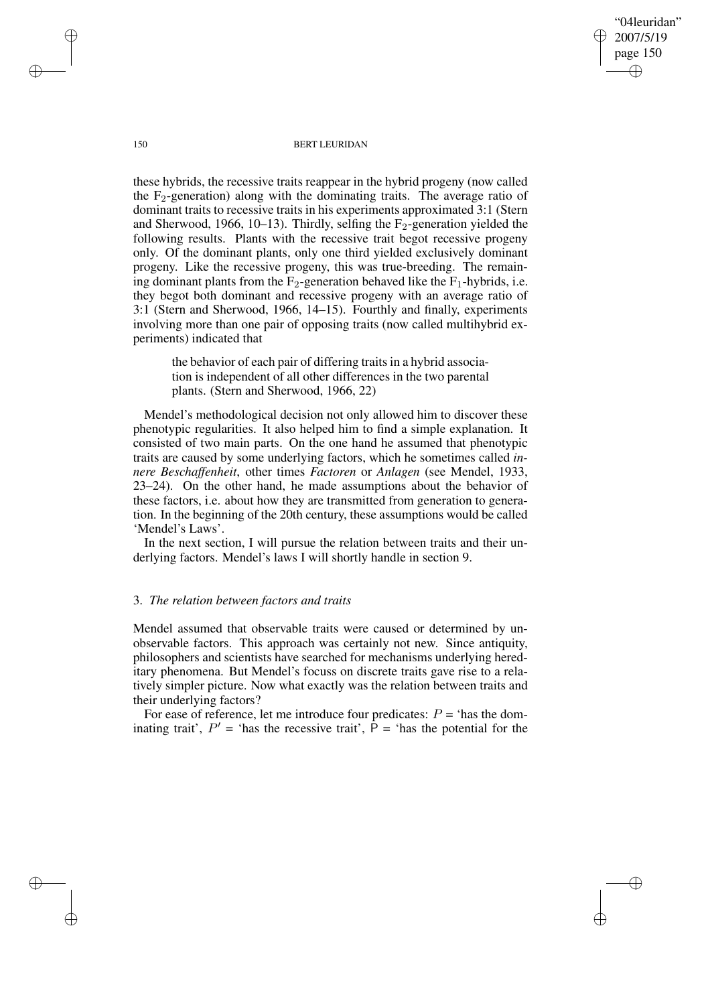page 150 ✐

✐

✐

✐

"04leuridan" 2007/5/19

#### 150 BERT LEURIDAN

these hybrids, the recessive traits reappear in the hybrid progeny (now called the  $F_2$ -generation) along with the dominating traits. The average ratio of dominant traits to recessive traits in his experiments approximated 3:1 (Stern and Sherwood, 1966, 10–13). Thirdly, selfing the  $F_2$ -generation yielded the following results. Plants with the recessive trait begot recessive progeny only. Of the dominant plants, only one third yielded exclusively dominant progeny. Like the recessive progeny, this was true-breeding. The remaining dominant plants from the  $F_2$ -generation behaved like the  $F_1$ -hybrids, i.e. they begot both dominant and recessive progeny with an average ratio of 3:1 (Stern and Sherwood, 1966, 14–15). Fourthly and finally, experiments involving more than one pair of opposing traits (now called multihybrid experiments) indicated that

the behavior of each pair of differing traitsin a hybrid association is independent of all other differences in the two parental plants. (Stern and Sherwood, 1966, 22)

Mendel's methodological decision not only allowed him to discover these phenotypic regularities. It also helped him to find a simple explanation. It consisted of two main parts. On the one hand he assumed that phenotypic traits are caused by some underlying factors, which he sometimes called *innere Beschaffenheit*, other times *Factoren* or *Anlagen* (see Mendel, 1933, 23–24). On the other hand, he made assumptions about the behavior of these factors, i.e. about how they are transmitted from generation to generation. In the beginning of the 20th century, these assumptions would be called 'Mendel's Laws'.

In the next section, I will pursue the relation between traits and their underlying factors. Mendel's laws I will shortly handle in section 9.

## 3. *The relation between factors and traits*

Mendel assumed that observable traits were caused or determined by unobservable factors. This approach was certainly not new. Since antiquity, philosophers and scientists have searched for mechanisms underlying hereditary phenomena. But Mendel's focuss on discrete traits gave rise to a relatively simpler picture. Now what exactly was the relation between traits and their underlying factors?

For ease of reference, let me introduce four predicates:  $P = '$  has the dominating trait',  $P'$  = 'has the recessive trait',  $\hat{P}$  = 'has the potential for the

✐

✐

✐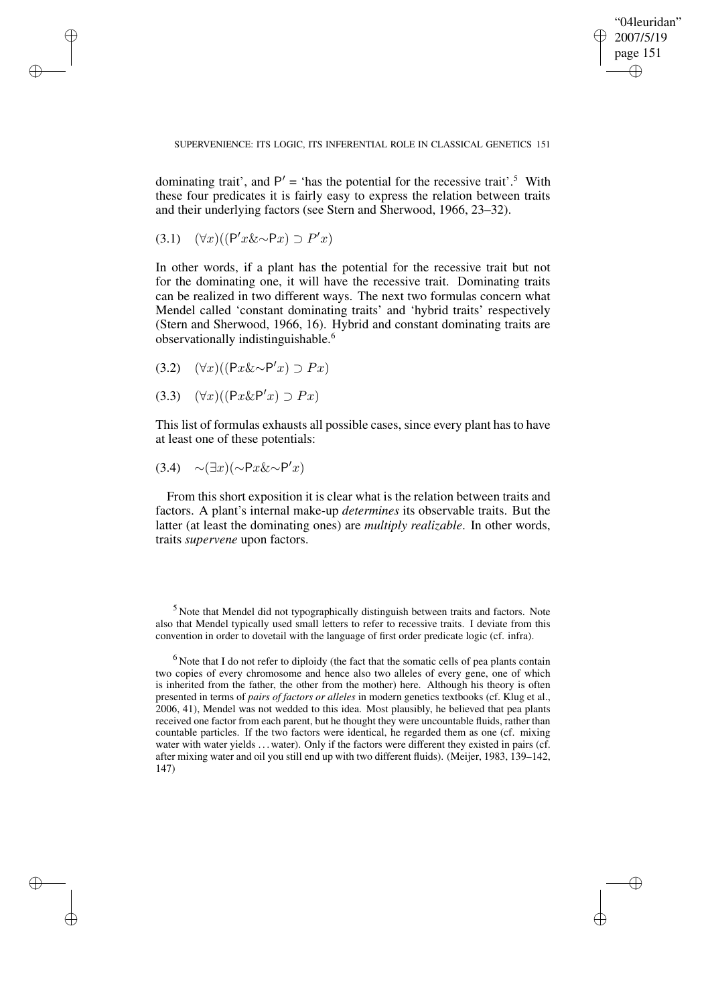✐

SUPERVENIENCE: ITS LOGIC, ITS INFERENTIAL ROLE IN CLASSICAL GENETICS 151

dominating trait', and  $P' = '$  has the potential for the recessive trait'.<sup>5</sup> With these four predicates it is fairly easy to express the relation between traits and their underlying factors (see Stern and Sherwood, 1966, 23–32).

$$
(3.1) \quad (\forall x)((P'x\&\sim P x) \supset P' x)
$$

✐

✐

✐

✐

In other words, if a plant has the potential for the recessive trait but not for the dominating one, it will have the recessive trait. Dominating traits can be realized in two different ways. The next two formulas concern what Mendel called 'constant dominating traits' and 'hybrid traits' respectively (Stern and Sherwood, 1966, 16). Hybrid and constant dominating traits are observationally indistinguishable.<sup>6</sup>

- (3.2)  $(\forall x)((Px\&\sim P'x) \supset Px)$
- (3.3)  $(\forall x)((Px\&P'x) \supset Px)$

This list of formulas exhausts all possible cases, since every plant has to have at least one of these potentials:

$$
(3.4) \quad \sim (\exists x)(\sim \mathsf{P}x \& \sim \mathsf{P}'x)
$$

From this short exposition it is clear what is the relation between traits and factors. A plant's internal make-up *determines* its observable traits. But the latter (at least the dominating ones) are *multiply realizable*. In other words, traits *supervene* upon factors.

<sup>5</sup> Note that Mendel did not typographically distinguish between traits and factors. Note also that Mendel typically used small letters to refer to recessive traits. I deviate from this convention in order to dovetail with the language of first order predicate logic (cf. infra).

<sup>&</sup>lt;sup>6</sup> Note that I do not refer to diploidy (the fact that the somatic cells of pea plants contain two copies of every chromosome and hence also two alleles of every gene, one of which is inherited from the father, the other from the mother) here. Although his theory is often presented in terms of *pairs of factors or alleles* in modern genetics textbooks (cf. Klug et al., 2006, 41), Mendel was not wedded to this idea. Most plausibly, he believed that pea plants received one factor from each parent, but he thought they were uncountable fluids, rather than countable particles. If the two factors were identical, he regarded them as one (cf. mixing water with water yields ... water). Only if the factors were different they existed in pairs (cf. after mixing water and oil you still end up with two different fluids). (Meijer, 1983, 139–142, 147)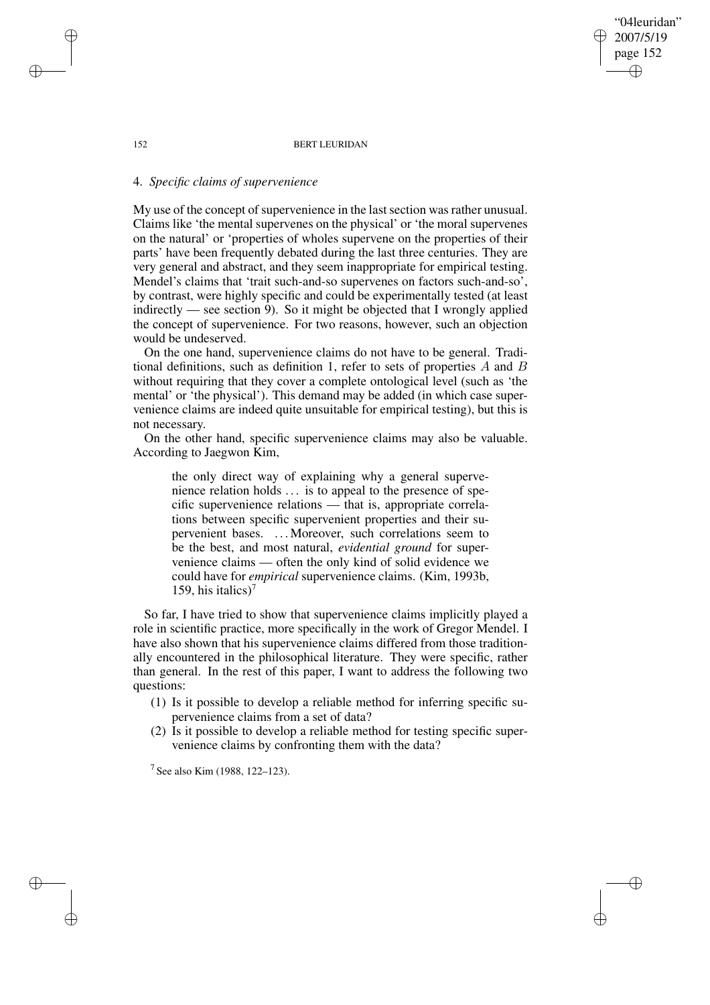152 BERT LEURIDAN

"04leuridan" 2007/5/19 page 152

✐

✐

✐

✐

## 4. *Specific claims of supervenience*

My use of the concept of supervenience in the last section was rather unusual. Claims like 'the mental supervenes on the physical' or 'the moral supervenes on the natural' or 'properties of wholes supervene on the properties of their parts' have been frequently debated during the last three centuries. They are very general and abstract, and they seem inappropriate for empirical testing. Mendel's claims that 'trait such-and-so supervenes on factors such-and-so', by contrast, were highly specific and could be experimentally tested (at least indirectly — see section 9). So it might be objected that I wrongly applied the concept of supervenience. For two reasons, however, such an objection would be undeserved.

On the one hand, supervenience claims do not have to be general. Traditional definitions, such as definition 1, refer to sets of properties  $A$  and  $B$ without requiring that they cover a complete ontological level (such as 'the mental' or 'the physical'). This demand may be added (in which case supervenience claims are indeed quite unsuitable for empirical testing), but this is not necessary.

On the other hand, specific supervenience claims may also be valuable. According to Jaegwon Kim,

the only direct way of explaining why a general supervenience relation holds . . . is to appeal to the presence of specific supervenience relations — that is, appropriate correlations between specific supervenient properties and their supervenient bases. . . . Moreover, such correlations seem to be the best, and most natural, *evidential ground* for supervenience claims — often the only kind of solid evidence we could have for *empirical* supervenience claims. (Kim, 1993b, 159, his italics)<sup>7</sup>

So far, I have tried to show that supervenience claims implicitly played a role in scientific practice, more specifically in the work of Gregor Mendel. I have also shown that his supervenience claims differed from those traditionally encountered in the philosophical literature. They were specific, rather than general. In the rest of this paper, I want to address the following two questions:

- (1) Is it possible to develop a reliable method for inferring specific supervenience claims from a set of data?
- (2) Is it possible to develop a reliable method for testing specific supervenience claims by confronting them with the data?

<sup>7</sup> See also Kim (1988, 122–123).

✐

✐

✐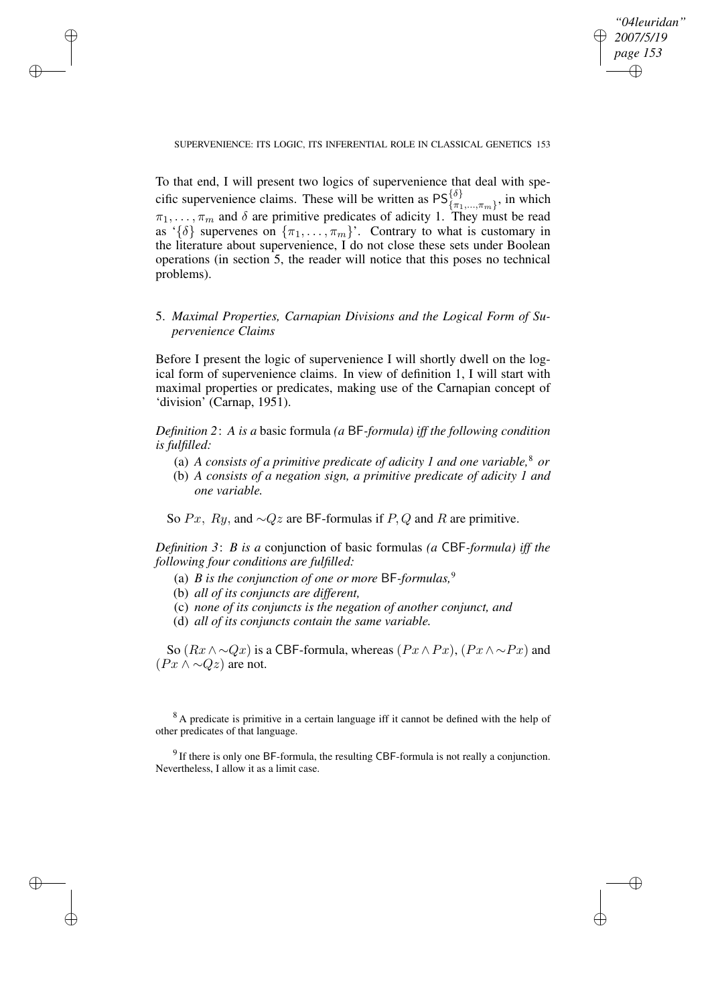✐

SUPERVENIENCE: ITS LOGIC, ITS INFERENTIAL ROLE IN CLASSICAL GENETICS 153

To that end, I will present two logics of supervenience that deal with specific supervenience claims. These will be written as  $PS^{\{\delta\}}_{\{\pi_1,\dots,\pi_m\}}$ , in which  $\pi_1, \ldots, \pi_m$  and  $\delta$  are primitive predicates of adicity 1. They must be read as ' $\{\delta\}$  supervenes on  $\{\pi_1, \ldots, \pi_m\}$ '. Contrary to what is customary in the literature about supervenience, I do not close these sets under Boolean operations (in section 5, the reader will notice that this poses no technical problems).

5. *Maximal Properties, Carnapian Divisions and the Logical Form of Supervenience Claims*

Before I present the logic of supervenience I will shortly dwell on the logical form of supervenience claims. In view of definition 1, I will start with maximal properties or predicates, making use of the Carnapian concept of 'division' (Carnap, 1951).

*Definition 2*: *A is a* basic formula *(a* BF*-formula) iff the following condition is fulfilled:*

- (a) *A consists of a primitive predicate of adicity 1 and one variable,* <sup>8</sup> *or*
- (b) *A consists of a negation sign, a primitive predicate of adicity 1 and one variable.*

So Px, Ry, and  $\sim Qz$  are BF-formulas if P, Q and R are primitive.

*Definition 3*: *B is a* conjunction of basic formulas *(a* CBF*-formula) iff the following four conditions are fulfilled:*

- (a) *B* is the conjunction of one or more  $BF$ -formulas,<sup>9</sup>
- (b) *all of its conjuncts are different,*

✐

✐

✐

✐

- (c) *none of its conjuncts is the negation of another conjunct, and*
- (d) *all of its conjuncts contain the same variable.*

So  $(Rx \wedge \neg Qx)$  is a CBF-formula, whereas  $(Px \wedge Px)$ ,  $(Px \wedge \neg Px)$  and  $(Px \wedge \neg Qz)$  are not.

<sup>8</sup> A predicate is primitive in a certain language iff it cannot be defined with the help of other predicates of that language.

 $9$  If there is only one BF-formula, the resulting CBF-formula is not really a conjunction. Nevertheless, I allow it as a limit case.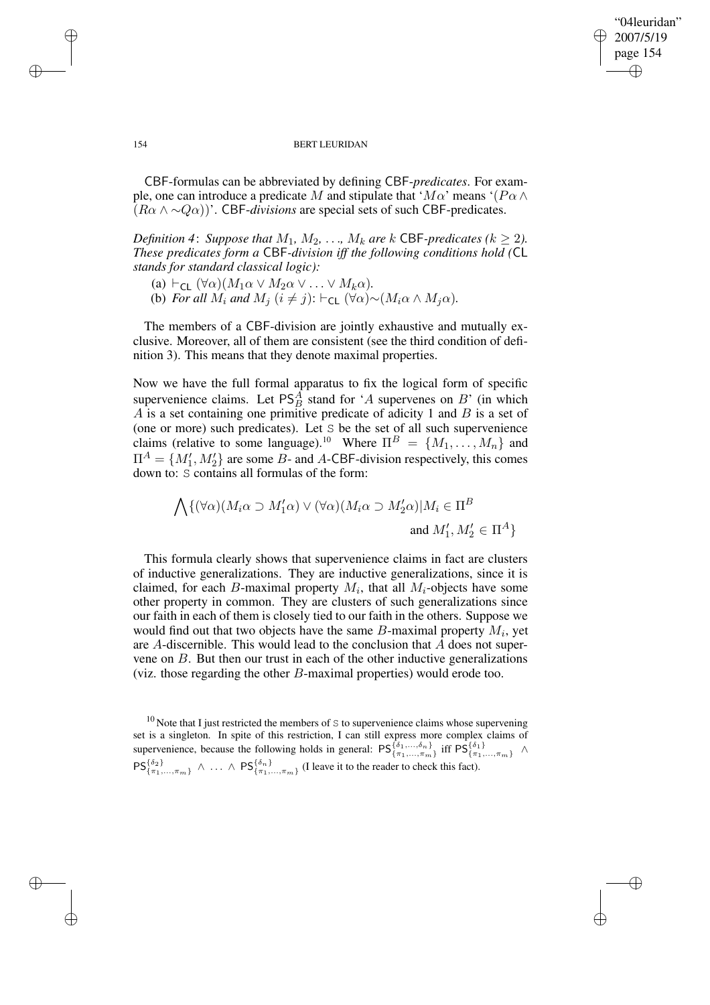## "04leuridan" 2007/5/19 page 154 ✐ ✐

✐

✐

#### 154 BERT LEURIDAN

CBF-formulas can be abbreviated by defining CBF-*predicates*. For example, one can introduce a predicate M and stipulate that ' $M\alpha$ ' means '( $P\alpha \wedge$  $(R\alpha \wedge \neg Q\alpha)$ <sup>'</sup>. CBF-*divisions* are special sets of such CBF-predicates.

*Definition* 4: *Suppose that*  $M_1$ *,*  $M_2$ *,* . . .*,*  $M_k$  *are*  $k$  **CBF**-predicates ( $k \geq 2$ ). *These predicates form a* CBF*-division iff the following conditions hold (*CL *stands for standard classical logic):*

- (a)  $\vdash_{\mathsf{CL}} (\forall \alpha)(M_1 \alpha \lor M_2 \alpha \lor \ldots \lor M_k \alpha)$ .
- (b) *For all*  $M_i$  *and*  $M_j$   $(i \neq j)$ :  $\vdash$ <sub>CL</sub>  $(\forall \alpha) \sim (M_i \alpha \land M_j \alpha)$ *.*

The members of a CBF-division are jointly exhaustive and mutually exclusive. Moreover, all of them are consistent (see the third condition of definition 3). This means that they denote maximal properties.

Now we have the full formal apparatus to fix the logical form of specific supervenience claims. Let  $PS<sub>B</sub><sup>A</sup>$  stand for 'A supervenes on B' (in which  $\overrightarrow{A}$  is a set containing one primitive predicate of adicity 1 and  $\overrightarrow{B}$  is a set of (one or more) such predicates). Let S be the set of all such supervenience claims (relative to some language).<sup>10</sup> Where  $\Pi^B = \{M_1, \ldots, M_n\}$  and  $\Pi^A = \{M'_1, M'_2\}$  are some B- and A-CBF-division respectively, this comes down to: S contains all formulas of the form:

$$
\bigwedge \{ (\forall \alpha)(M_i \alpha \supset M'_1 \alpha) \vee (\forall \alpha)(M_i \alpha \supset M'_2 \alpha) | M_i \in \Pi^B
$$
  
and  $M'_1, M'_2 \in \Pi^A \}$ 

This formula clearly shows that supervenience claims in fact are clusters of inductive generalizations. They are inductive generalizations, since it is claimed, for each B-maximal property  $M_i$ , that all  $M_i$ -objects have some other property in common. They are clusters of such generalizations since our faith in each of them is closely tied to our faith in the others. Suppose we would find out that two objects have the same  $B$ -maximal property  $M_i$ , yet are A-discernible. This would lead to the conclusion that A does not supervene on B. But then our trust in each of the other inductive generalizations (viz. those regarding the other B-maximal properties) would erode too.

✐

✐

✐

 $10$  Note that I just restricted the members of S to supervenience claims whose supervening set is a singleton. In spite of this restriction, I can still express more complex claims of supervenience, because the following holds in general:  $PS_{\{\pi_1,\ldots,\pi_m\}}^{\{\delta_1,\ldots,\delta_n\}}$  iff  $PS_{\{\pi_1,\ldots,\pi_m\}}^{\{\delta_1\}}$   $\wedge$  $\mathsf{PS}_{\{\pi_1,\ldots,\pi_m\}}^{\{\delta_2\}} \wedge \ldots \wedge \mathsf{PS}_{\{\pi_1,\ldots,\pi_m\}}^{\{\delta_n\}}$  (I leave it to the reader to check this fact).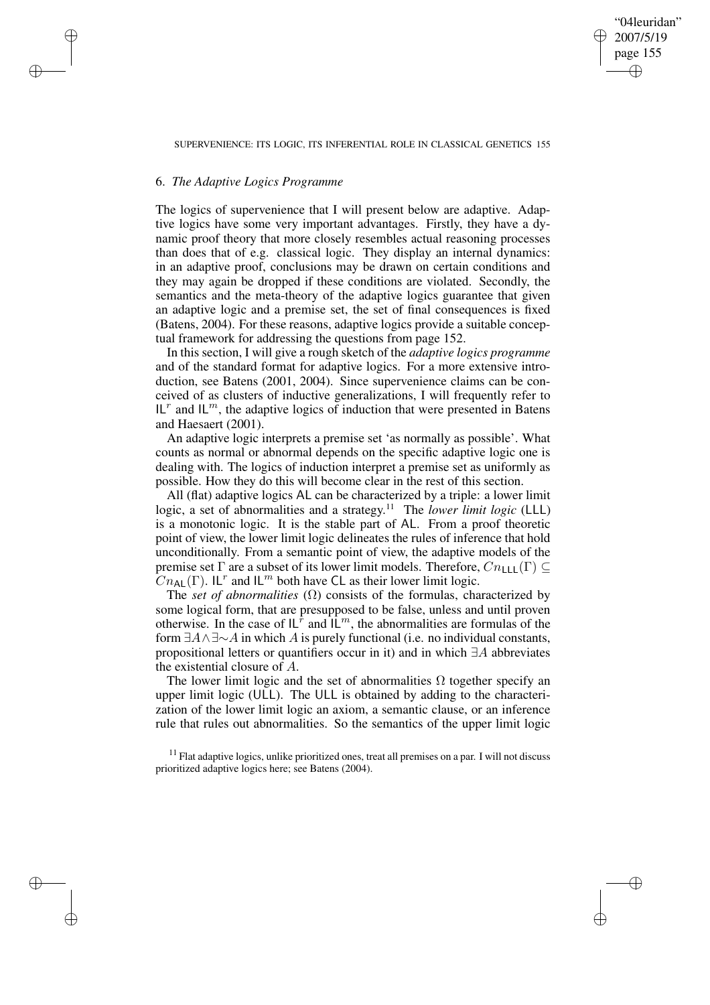"04leuridan" 2007/5/19 page 155 ✐ ✐

✐

✐

#### SUPERVENIENCE: ITS LOGIC, ITS INFERENTIAL ROLE IN CLASSICAL GENETICS 155

## 6. *The Adaptive Logics Programme*

✐

✐

✐

✐

The logics of supervenience that I will present below are adaptive. Adaptive logics have some very important advantages. Firstly, they have a dynamic proof theory that more closely resembles actual reasoning processes than does that of e.g. classical logic. They display an internal dynamics: in an adaptive proof, conclusions may be drawn on certain conditions and they may again be dropped if these conditions are violated. Secondly, the semantics and the meta-theory of the adaptive logics guarantee that given an adaptive logic and a premise set, the set of final consequences is fixed (Batens, 2004). For these reasons, adaptive logics provide a suitable conceptual framework for addressing the questions from page 152.

In this section, I will give a rough sketch of the *adaptive logics programme* and of the standard format for adaptive logics. For a more extensive introduction, see Batens (2001, 2004). Since supervenience claims can be conceived of as clusters of inductive generalizations, I will frequently refer to IL<sup>r</sup> and IL<sup>m</sup>, the adaptive logics of induction that were presented in Batens and Haesaert (2001).

An adaptive logic interprets a premise set 'as normally as possible'. What counts as normal or abnormal depends on the specific adaptive logic one is dealing with. The logics of induction interpret a premise set as uniformly as possible. How they do this will become clear in the rest of this section.

All (flat) adaptive logics AL can be characterized by a triple: a lower limit logic, a set of abnormalities and a strategy. <sup>11</sup> The *lower limit logic* (LLL) is a monotonic logic. It is the stable part of AL. From a proof theoretic point of view, the lower limit logic delineates the rules of inference that hold unconditionally. From a semantic point of view, the adaptive models of the premise set  $\Gamma$  are a subset of its lower limit models. Therefore,  $Cn_{\text{L}}(\Gamma) \subseteq$  $Cn_{\mathsf{AL}}(\Gamma)$ . IL<sup>r</sup> and IL<sup>m</sup> both have CL as their lower limit logic.

The *set* of *abnormalities*  $(Ω)$  consists of the formulas, characterized by some logical form, that are presupposed to be false, unless and until proven otherwise. In the case of  $L^{\hat{r}}$  and  $\hat{L}^m$ , the abnormalities are formulas of the form  $\exists A \land \exists \sim A$  in which A is purely functional (i.e. no individual constants, propositional letters or quantifiers occur in it) and in which ∃A abbreviates the existential closure of A.

The lower limit logic and the set of abnormalities  $\Omega$  together specify an upper limit logic (ULL). The ULL is obtained by adding to the characterization of the lower limit logic an axiom, a semantic clause, or an inference rule that rules out abnormalities. So the semantics of the upper limit logic

 $11$  Flat adaptive logics, unlike prioritized ones, treat all premises on a par. I will not discuss prioritized adaptive logics here; see Batens (2004).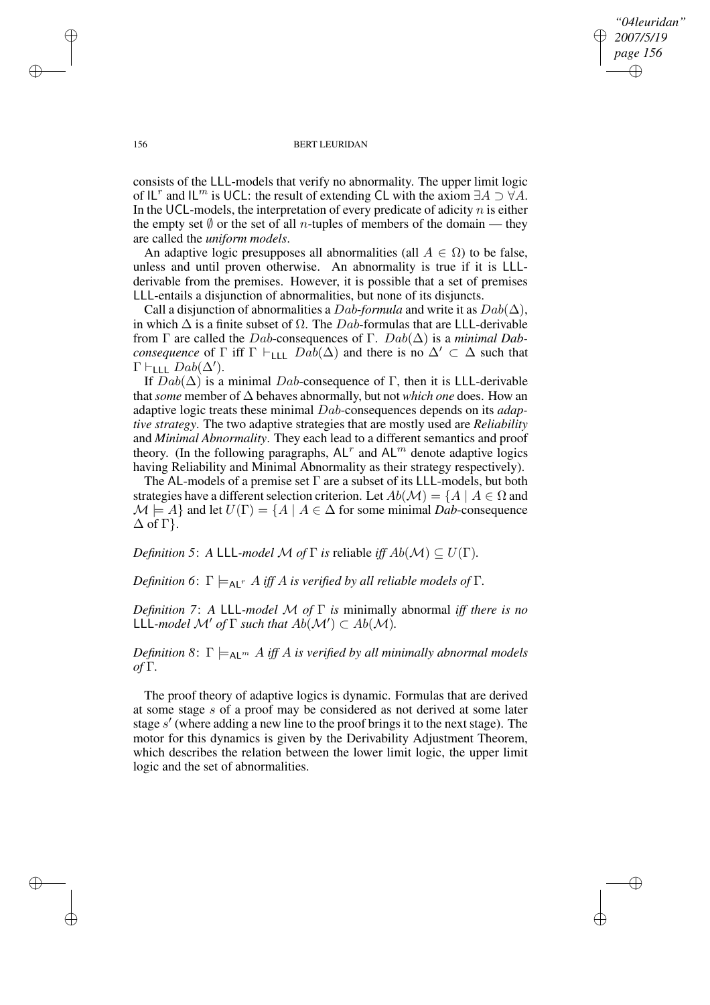*"04leuridan" 2007/5/19 page 156* ✐ ✐

✐

✐

#### 156 BERT LEURIDAN

consists of the LLL-models that verify no abnormality. The upper limit logic of  $IL^r$  and  $IL^m$  is UCL: the result of extending CL with the axiom  $\exists A \supset \forall A$ . In the UCL-models, the interpretation of every predicate of adicity  $n$  is either the empty set  $\emptyset$  or the set of all *n*-tuples of members of the domain — they are called the *uniform models*.

An adaptive logic presupposes all abnormalities (all  $A \in \Omega$ ) to be false, unless and until proven otherwise. An abnormality is true if it is LLLderivable from the premises. However, it is possible that a set of premises LLL-entails a disjunction of abnormalities, but none of its disjuncts.

Call a disjunction of abnormalities a Dab-formula and write it as  $Dab(\Delta)$ , in which  $\Delta$  is a finite subset of  $\Omega$ . The Dab-formulas that are LLL-derivable from Γ are called the Dab-consequences of Γ. Dab(∆) is a *minimal Dabconsequence* of  $\Gamma$  iff  $\Gamma \vdash_{\text{LLL}} Dab(\Delta)$  and there is no  $\Delta' \subset \Delta$  such that  $\Gamma \vdash_{\mathsf{LLL}} Dab(\Delta').$ 

If  $Dab(\Delta)$  is a minimal Dab-consequence of Γ, then it is LLL-derivable that*some* member of ∆ behaves abnormally, but not *which one* does. How an adaptive logic treats these minimal Dab-consequences depends on its *adaptive strategy*. The two adaptive strategies that are mostly used are *Reliability* and *Minimal Abnormality*. They each lead to a different semantics and proof theory. (In the following paragraphs,  $AL^r$  and  $AL^m$  denote adaptive logics having Reliability and Minimal Abnormality as their strategy respectively).

The AL-models of a premise set  $\Gamma$  are a subset of its LLL-models, but both strategies have a different selection criterion. Let  $Ab(\mathcal{M}) = \{A \mid A \in \Omega \text{ and }$  $\mathcal{M} \models A$  and let  $U(\Gamma) = \{A \mid A \in \Delta \text{ for some minimal } Dab\text{-consequence}\}$  $\Delta$  of  $\Gamma$  }.

*Definition* 5: *A* LLL-*model M of*  $\Gamma$  *is* reliable *iff*  $Ab(\mathcal{M}) \subseteq U(\Gamma)$ *.* 

*Definition* 6:  $\Gamma \models_{\text{Al}^r} A$  *iff* A *is verified by all reliable models of*  $\Gamma$ *.* 

*Definition 7*: *A* LLL*-model* M *of* Γ *is* minimally abnormal *iff there is no*  $LL$ *L-model*  $\mathcal{M}'$  *of*  $\Gamma$  *such that*  $Ab(\mathcal{M}') \subset Ab(\mathcal{M})$ *.* 

*Definition* 8:  $\Gamma \models_{AL^m} A$  *iff* A *is verified by all minimally abnormal models of* Γ*.*

The proof theory of adaptive logics is dynamic. Formulas that are derived at some stage s of a proof may be considered as not derived at some later stage  $s'$  (where adding a new line to the proof brings it to the next stage). The motor for this dynamics is given by the Derivability Adjustment Theorem, which describes the relation between the lower limit logic, the upper limit logic and the set of abnormalities.

✐

✐

✐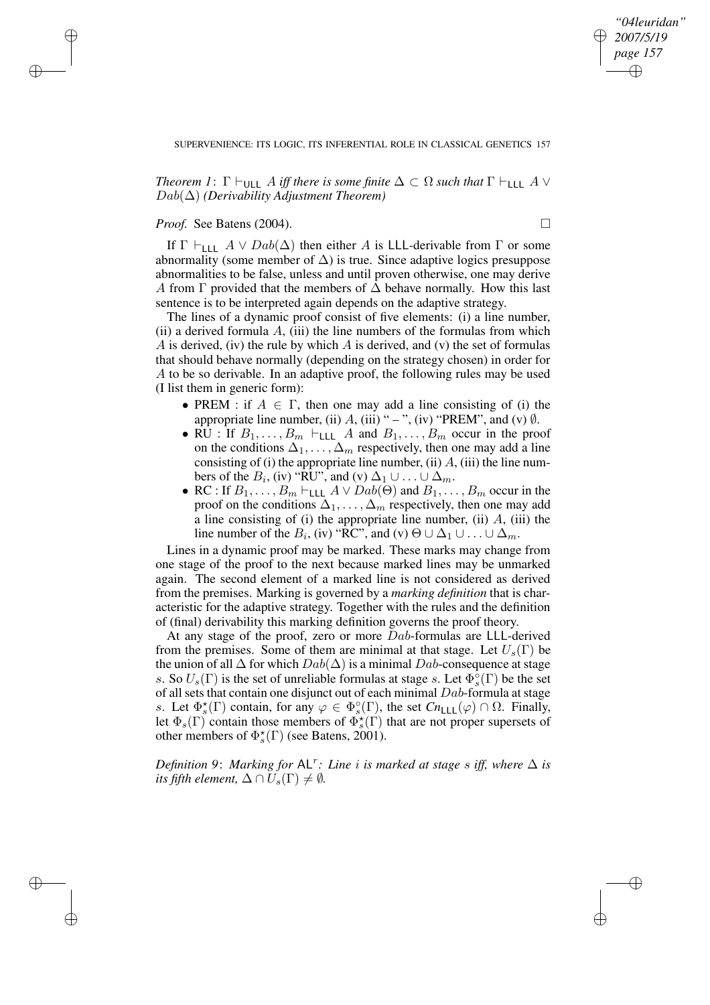## *"04leuridan" 2007/5/19 page 157* ✐ ✐

✐

✐

## SUPERVENIENCE: ITS LOGIC, ITS INFERENTIAL ROLE IN CLASSICAL GENETICS 157

*Theorem 1*:  $\Gamma \vdash_{\text{ULL}} A$  *iff there is some finite*  $\Delta \subset \Omega$  *such that*  $\Gamma \vdash_{\text{LLL}} A \vee$ Dab(∆) *(Derivability Adjustment Theorem)*

## *Proof.* See Batens (2004). □

✐

✐

✐

✐

If  $\Gamma \vdash_{\textsf{LLL}} A \lor \textit{Dab}(\Delta)$  then either A is LLL-derivable from  $\Gamma$  or some abnormality (some member of  $\Delta$ ) is true. Since adaptive logics presuppose abnormalities to be false, unless and until proven otherwise, one may derive A from  $\Gamma$  provided that the members of  $\Delta$  behave normally. How this last sentence is to be interpreted again depends on the adaptive strategy.

The lines of a dynamic proof consist of five elements: (i) a line number, (ii) a derived formula  $A$ , (iii) the line numbers of the formulas from which A is derived, (iv) the rule by which  $A$  is derived, and (v) the set of formulas that should behave normally (depending on the strategy chosen) in order for A to be so derivable. In an adaptive proof, the following rules may be used (I list them in generic form):

- PREM : if  $A \in \Gamma$ , then one may add a line consisting of (i) the appropriate line number, (ii)  $A$ , (iii) " – ", (iv) "PREM", and (v)  $\emptyset$ .
- RU : If  $B_1, \ldots, B_m \vdash_{\mathsf{LLL}} A$  and  $B_1, \ldots, B_m$  occur in the proof on the conditions  $\Delta_1, \ldots, \Delta_m$  respectively, then one may add a line consisting of (i) the appropriate line number, (ii)  $A$ , (iii) the line numbers of the  $B_i$ , (iv) "RU", and (v)  $\Delta_1 \cup ... \cup \Delta_m$ .
- RC : If  $B_1, \ldots, B_m \vdash_{\text{LLL}} A \vee Dab(\Theta)$  and  $B_1, \ldots, B_m$  occur in the proof on the conditions  $\Delta_1, \ldots, \Delta_m$  respectively, then one may add a line consisting of (i) the appropriate line number, (ii)  $A$ , (iii) the line number of the  $B_i$ , (iv) "RC", and (v)  $\Theta \cup \Delta_1 \cup ... \cup \Delta_m$ .

Lines in a dynamic proof may be marked. These marks may change from one stage of the proof to the next because marked lines may be unmarked again. The second element of a marked line is not considered as derived from the premises. Marking is governed by a *marking definition* that is characteristic for the adaptive strategy. Together with the rules and the definition of (final) derivability this marking definition governs the proof theory.

At any stage of the proof, zero or more Dab-formulas are LLL-derived from the premises. Some of them are minimal at that stage. Let  $U_s(\Gamma)$  be the union of all  $\Delta$  for which  $Dab(\Delta)$  is a minimal  $Dab$ -consequence at stage s. So  $U_s(\Gamma)$  is the set of unreliable formulas at stage s. Let  $\Phi_s^{\circ}(\Gamma)$  be the set of all sets that contain one disjunct out of each minimal  $Dab$ -formula at stage s. Let  $\Phi_s^*(\Gamma)$  contain, for any  $\varphi \in \Phi_s^{\circ}(\Gamma)$ , the set  $Cn_{\text{LLL}}(\varphi) \cap \Omega$ . Finally, let  $\Phi_s(\Gamma)$  contain those members of  $\Phi_s^{\star}(\Gamma)$  that are not proper supersets of other members of  $\Phi_s^{\star}(\Gamma)$  (see Batens, 2001).

*Definition* 9: *Marking for*  $AL^r$ : *Line i is marked at stage s iff, where*  $\Delta$  *is its fifth element*,  $\Delta \cap U_s(\Gamma) \neq \emptyset$ *.*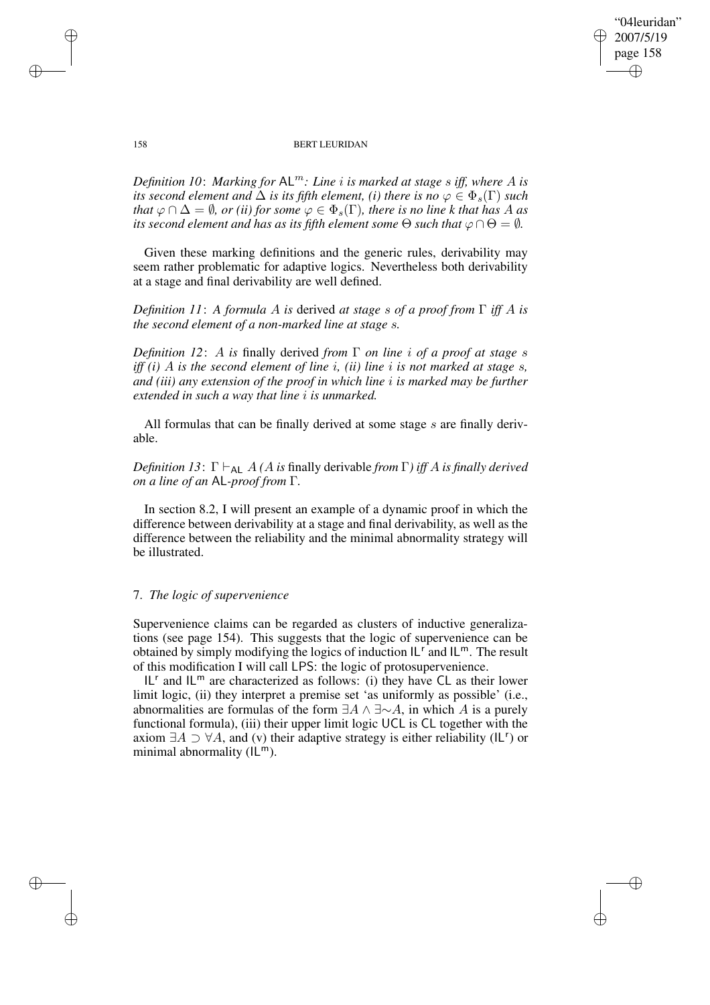"04leuridan" 2007/5/19 page 158 ✐ ✐

✐

✐

#### 158 BERT LEURIDAN

*Definition* 10: *Marking for*  $AL^m$ : *Line i is marked at stage s iff, where A is its second element and*  $\Delta$  *is its fifth element, (i) there is no*  $\varphi \in \Phi_s(\Gamma)$  *such that*  $\varphi \cap \Delta = \emptyset$ , *or (ii) for some*  $\varphi \in \Phi_s(\Gamma)$ , *there is no line k that has A as its second element and has as its fifth element <i>some*  $\Theta$  *such that*  $\varphi \cap \Theta = \emptyset$ *.* 

Given these marking definitions and the generic rules, derivability may seem rather problematic for adaptive logics. Nevertheless both derivability at a stage and final derivability are well defined.

*Definition 11*: *A formula* A *is* derived *at stage* s *of a proof from* Γ *iff* A *is the second element of a non-marked line at stage* s*.*

*Definition 12*: A *is* finally derived *from* Γ *on line* i *of a proof at stage* s *iff (i)* A *is the second element of line* i*, (ii) line* i *is not marked at stage* s*, and (iii) any extension of the proof in which line* i *is marked may be further extended in such a way that line* i *is unmarked.*

All formulas that can be finally derived at some stage s are finally derivable.

*Definition* 13:  $\Gamma \vdash_{AL} A$  *(A is finally derivable from*  $\Gamma$ *) iff A is finally derived on a line of an* AL*-proof from* Γ*.*

In section 8.2, I will present an example of a dynamic proof in which the difference between derivability at a stage and final derivability, as well as the difference between the reliability and the minimal abnormality strategy will be illustrated.

## 7. *The logic of supervenience*

Supervenience claims can be regarded as clusters of inductive generalizations (see page 154). This suggests that the logic of supervenience can be obtained by simply modifying the logics of induction  $IL^r$  and  $IL^m$ . The result of this modification I will call LPS: the logic of protosupervenience.

IL<sup>r</sup> and  $|L^m$  are characterized as follows: (i) they have CL as their lower limit logic, (ii) they interpret a premise set 'as uniformly as possible' (i.e., abnormalities are formulas of the form  $\exists A \land \exists \sim A$ , in which A is a purely functional formula), (iii) their upper limit logic UCL is CL together with the axiom  $\exists A \supset \forall A$ , and (v) their adaptive strategy is either reliability (IL<sup>r</sup>) or minimal abnormality  $(IL^m)$ .

✐

✐

✐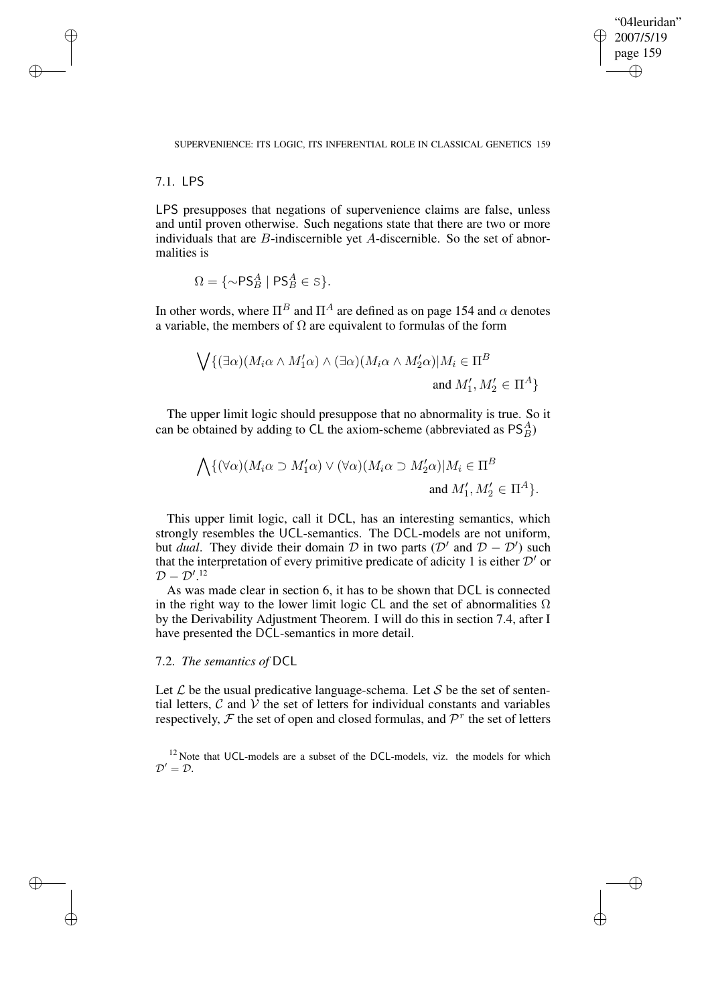✐

#### SUPERVENIENCE: ITS LOGIC, ITS INFERENTIAL ROLE IN CLASSICAL GENETICS 159

## 7.1. LPS

✐

✐

✐

✐

LPS presupposes that negations of supervenience claims are false, unless and until proven otherwise. Such negations state that there are two or more individuals that are B-indiscernible yet A-discernible. So the set of abnormalities is

$$
\Omega = \{ \sim P\mathsf{S}_{B}^{A} \mid P\mathsf{S}_{B}^{A} \in \mathsf{S} \}.
$$

In other words, where  $\Pi^B$  and  $\Pi^A$  are defined as on page 154 and  $\alpha$  denotes a variable, the members of  $\Omega$  are equivalent to formulas of the form

$$
\bigvee \{ (\exists \alpha)(M_i \alpha \wedge M'_1 \alpha) \wedge (\exists \alpha)(M_i \alpha \wedge M'_2 \alpha) | M_i \in \Pi^B
$$
  
and  $M'_1, M'_2 \in \Pi^A \}$ 

The upper limit logic should presuppose that no abnormality is true. So it can be obtained by adding to CL the axiom-scheme (abbreviated as  $PS_B^A$ )

$$
\bigwedge \{ (\forall \alpha)(M_i \alpha \supset M'_1 \alpha) \vee (\forall \alpha)(M_i \alpha \supset M'_2 \alpha)| M_i \in \Pi^B
$$
  
and  $M'_1, M'_2 \in \Pi^A \}.$ 

This upper limit logic, call it DCL, has an interesting semantics, which strongly resembles the UCL-semantics. The DCL-models are not uniform, but *dual*. They divide their domain  $D$  in two parts ( $D'$  and  $D - D'$ ) such that the interpretation of every primitive predicate of adicity 1 is either  $\mathcal{D}'$  or  $\mathcal{D}-\mathcal{D}'.^{12}$ 

As was made clear in section 6, it has to be shown that DCL is connected in the right way to the lower limit logic CL and the set of abnormalities  $\Omega$ by the Derivability Adjustment Theorem. I will do this in section 7.4, after I have presented the DCL-semantics in more detail.

## 7.2. *The semantics of* DCL

Let  $\mathcal L$  be the usual predicative language-schema. Let  $\mathcal S$  be the set of sentential letters,  $\mathcal C$  and  $\mathcal V$  the set of letters for individual constants and variables respectively,  $\mathcal F$  the set of open and closed formulas, and  $\mathcal P^r$  the set of letters

<sup>12</sup> Note that UCL-models are a subset of the DCL-models, viz. the models for which  $\mathcal{D}'=\mathcal{D}.$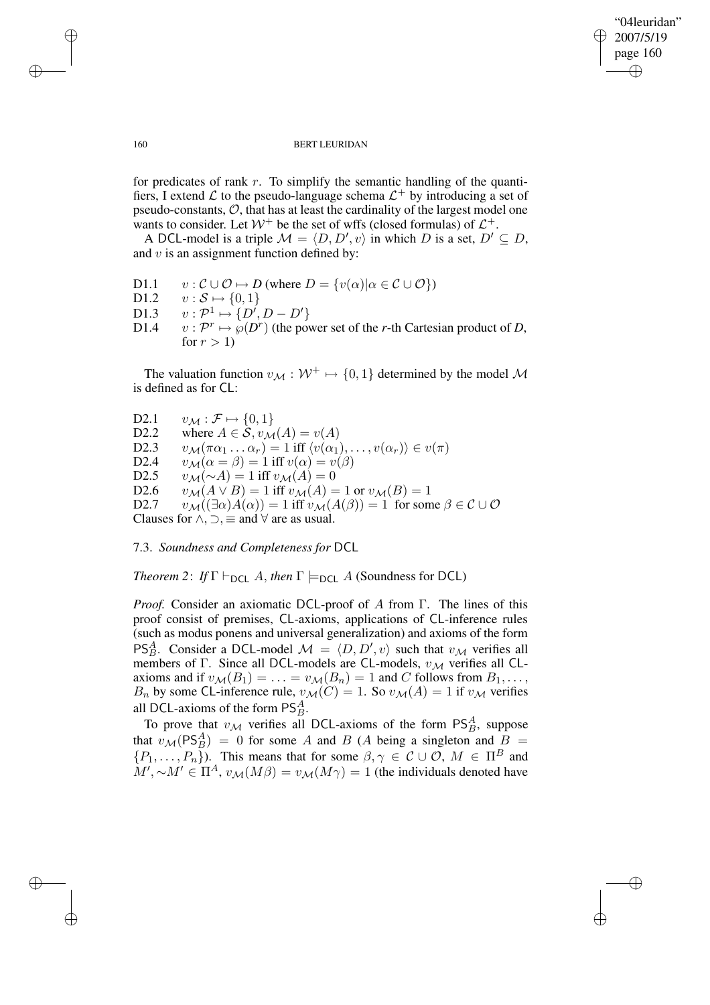✐

#### 160 BERT LEURIDAN

for predicates of rank  $r$ . To simplify the semantic handling of the quantifiers, I extend  $\mathcal L$  to the pseudo-language schema  $\mathcal L^+$  by introducing a set of pseudo-constants,  $O$ , that has at least the cardinality of the largest model one wants to consider. Let  $W^+$  be the set of wffs (closed formulas) of  $\mathcal{L}^+$ .

A DCL-model is a triple  $\mathcal{M} = \langle D, D', v \rangle$  in which D is a set,  $D' \subseteq D$ , and  $v$  is an assignment function defined by:

| D <sub>1.1</sub> | $v : \mathcal{C} \cup \mathcal{O} \mapsto D$ (where $D = \{v(\alpha)   \alpha \in \mathcal{C} \cup \mathcal{O}\}\$ ) |
|------------------|----------------------------------------------------------------------------------------------------------------------|
| D1.2             | $v : \mathcal{S} \mapsto \{0,1\}$                                                                                    |
| D1.3             | $v: \mathcal{P}^1 \mapsto \{D', D - D'\}$                                                                            |
| D <sub>1.4</sub> | $v: \mathcal{P}^r \mapsto \varphi(D^r)$ (the power set of the r-th Cartesian product of D,                           |
|                  | for $r > 1$                                                                                                          |

The valuation function  $v_M : \mathcal{W}^+ \mapsto \{0, 1\}$  determined by the model M is defined as for CL:

D2.1  $v_{\mathcal{M}} : \mathcal{F} \mapsto \{0, 1\}$ D2.2 where  $A \in \mathcal{S}$ ,  $v_{\mathcal{M}}(A) = v(A)$ D2.3  $v_{\mathcal{M}}(\pi\alpha_1 \dots \alpha_r) = 1$  iff  $\langle v(\alpha_1), \dots, v(\alpha_r) \rangle \in v(\pi)$ <br>D2.4  $v_{\mathcal{M}}(\alpha = \beta) = 1$  iff  $v(\alpha) = v(\beta)$ D2.4  $v_{\mathcal{M}}(\alpha = \beta) = 1$  iff  $v(\alpha) = v(\beta)$ <br>D2.5  $v_{\mathcal{M}}(\sim A) = 1$  iff  $v_{\mathcal{M}}(A) = 0$  $v_{\mathcal{M}}(\sim A) = 1$  iff  $v_{\mathcal{M}}(A) = 0$ D2.6  $v_{\mathcal{M}}(A \vee B) = 1$  iff  $v_{\mathcal{M}}(A) = 1$  or  $v_{\mathcal{M}}(B) = 1$ D2.7  $v_{\mathcal{M}}((\exists \alpha)A(\alpha)) = 1$  iff  $v_{\mathcal{M}}(A(\beta)) = 1$  for some  $\beta \in \mathcal{C} \cup \mathcal{O}$ Clauses for  $\land$ ,  $\supset$ ,  $\equiv$  and  $\forall$  are as usual.

7.3. *Soundness and Completeness for* DCL

*Theorem* 2: *If*  $\Gamma \vdash_{\textsf{DCL}} A$ , *then*  $\Gamma \models_{\textsf{DCL}} A$  (Soundness for DCL)

*Proof.* Consider an axiomatic DCL-proof of A from Γ. The lines of this proof consist of premises, CL-axioms, applications of CL-inference rules (such as modus ponens and universal generalization) and axioms of the form PS<sup>A</sup><sub>B</sub>. Consider a DCL-model  $\mathcal{M} = \langle D, D', v \rangle$  such that  $v_{\mathcal{M}}$  verifies all members of Γ. Since all DCL-models are CL-models,  $v_M$  verifies all CLaxioms and if  $v_{\mathcal{M}}(B_1) = \ldots = v_{\mathcal{M}}(B_n) = 1$  and C follows from  $B_1, \ldots$ ,  $B_n$  by some CL-inference rule,  $v_{\mathcal{M}}(C) = 1$ . So  $v_{\mathcal{M}}(A) = 1$  if  $v_{\mathcal{M}}$  verifies all DCL-axioms of the form  $PS<sub>B</sub><sup>A</sup>$ .

To prove that  $v_{\mathcal{M}}$  verifies all DCL-axioms of the form  $PS<sub>B</sub><sup>A</sup>$ , suppose that  $v_{\mathcal{M}}(PS^A_B) = 0$  for some A and B (A being a singleton and  $B =$  $\{P_1,\ldots,P_n\}$ ). This means that for some  $\beta,\gamma\in\mathcal{C}\cup\mathcal{O}, M\in\Pi^B$  and  $M', \sim M' \in \Pi^A$ ,  $v_{\mathcal{M}}(M\beta) = v_{\mathcal{M}}(M\gamma) = 1$  (the individuals denoted have

✐

✐

✐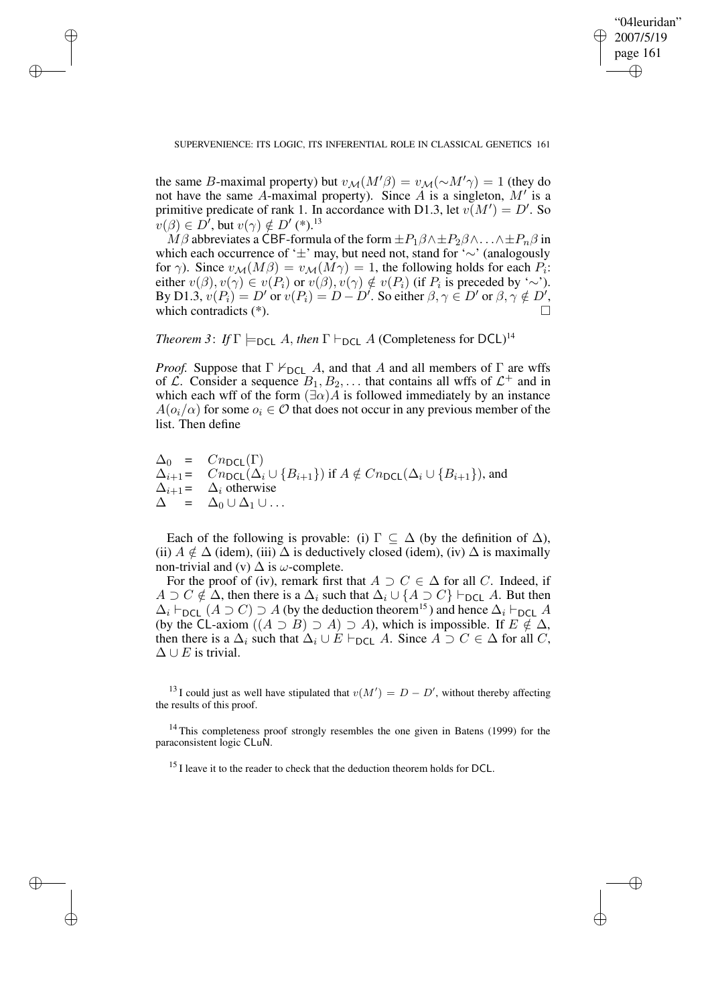✐

#### SUPERVENIENCE: ITS LOGIC, ITS INFERENTIAL ROLE IN CLASSICAL GENETICS 161

✐

✐

✐

✐

the same B-maximal property) but  $v_{\mathcal{M}}(M'\beta) = v_{\mathcal{M}}(\sim M'\gamma) = 1$  (they do not have the same A-maximal property). Since A is a singleton,  $M'$  is a primitive predicate of rank 1. In accordance with D1.3, let  $v(M') = D'$ . So  $v(\beta) \in D'$ , but  $v(\gamma) \notin D'$  (\*).<sup>13</sup>

 $\hat{M}\beta$  abbreviates a CBF-formula of the form  $\pm P_1\beta\wedge \pm P_2\beta\wedge \ldots \wedge \pm P_n\beta$  in which each occurrence of '±' may, but need not, stand for '∼' (analogously for  $\gamma$ ). Since  $v_{\mathcal{M}}(M\beta) = v_{\mathcal{M}}(M\gamma) = 1$ , the following holds for each  $P_i$ : either  $v(\beta), v(\gamma) \in v(P_i)$  or  $v(\beta), v(\gamma) \notin v(P_i)$  (if  $P_i$  is preceded by '∼'). By D1.3,  $v(P_i) = D'$  or  $v(P_i) = D - D'$ . So either  $\beta, \gamma \in D'$  or  $\beta, \gamma \notin D'$ , which contradicts (\*).

*Theorem 3: If*  $\Gamma$   $\models$   $\neg$   $\Box$  *A*, *then*  $\Gamma$   $\vdash$   $\neg$  $\Box$  *A* (Completeness for DCL)<sup>14</sup>

*Proof.* Suppose that  $\Gamma \nvdash_{\text{DCL}} A$ , and that A and all members of  $\Gamma$  are wffs of  $\mathcal{L}$ . Consider a sequence  $B_1, B_2, \ldots$  that contains all wffs of  $\mathcal{L}^+$  and in which each wff of the form  $(\exists \alpha) A$  is followed immediately by an instance  $A(o_i/\alpha)$  for some  $o_i \in \mathcal{O}$  that does not occur in any previous member of the list. Then define

 $\Delta_0 = Cn_{\text{DCL}}(\Gamma)$ <br> $\Delta_{i+1} = Cn_{\text{DCL}}(\Delta_i)$  $Cn_{\text{DCL}}(\Delta_i \cup \{B_{i+1}\})$  if  $A \notin Cn_{\text{DCL}}(\Delta_i \cup \{B_{i+1}\})$ , and  $\Delta_{i+1}$  =  $\Delta_i$  otherwise  $\Delta = \Delta_0 \cup \Delta_1 \cup \ldots$ 

Each of the following is provable: (i)  $\Gamma \subseteq \Delta$  (by the definition of  $\Delta$ ), (ii)  $A \notin \Delta$  (idem), (iii)  $\Delta$  is deductively closed (idem), (iv)  $\Delta$  is maximally non-trivial and (v)  $\Delta$  is  $\omega$ -complete.

For the proof of (iv), remark first that  $A \supset C \in \Delta$  for all C. Indeed, if  $A \supset C \notin \Delta$ , then there is a  $\Delta_i$  such that  $\Delta_i \cup \{A \supset C\} \vdash_{\textsf{DCL}} A$ . But then  $\Delta_i \vdash_{\textsf{DCL}} (A \supset C) \supset A$  (by the deduction theorem<sup>15</sup>) and hence  $\Delta_i \vdash_{\textsf{DCL}} A$ (by the CL-axiom  $((A \supset B) \supset A) \supset A$ ), which is impossible. If  $E \notin \Delta$ , then there is a  $\Delta_i$  such that  $\Delta_i \cup E \vdash_{\textsf{DCL}} A$ . Since  $A \supset C \in \Delta$  for all C,  $\Delta \cup E$  is trivial.

<sup>13</sup> I could just as well have stipulated that  $v(M') = D - D'$ , without thereby affecting the results of this proof.

<sup>14</sup> This completeness proof strongly resembles the one given in Batens (1999) for the paraconsistent logic CLuN.

<sup>15</sup> I leave it to the reader to check that the deduction theorem holds for DCL.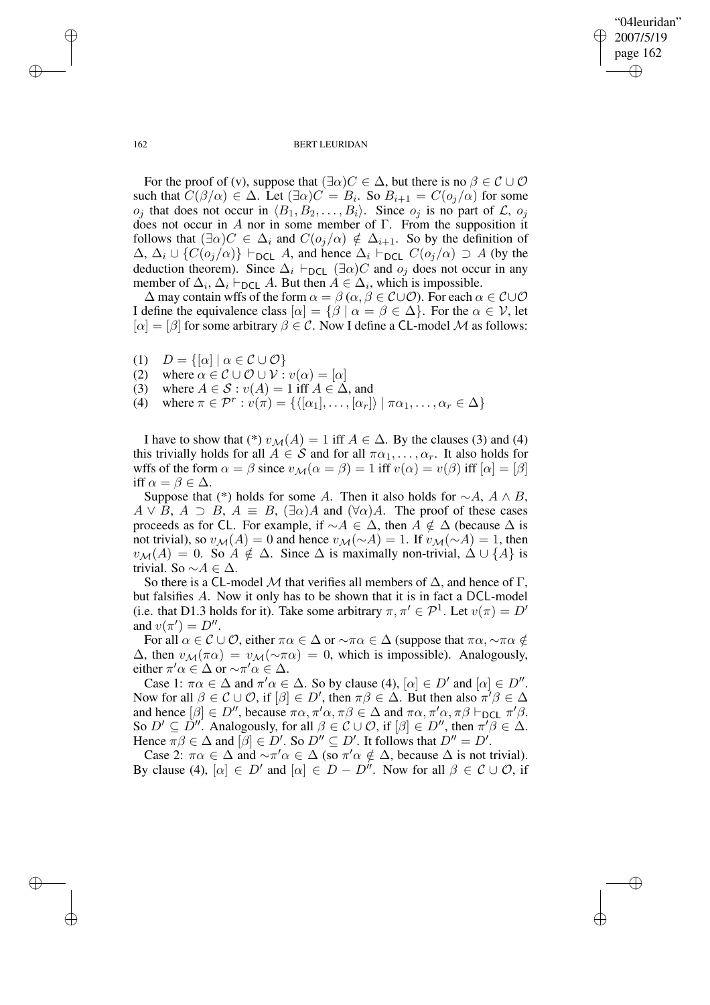✐

#### 162 BERT LEURIDAN

For the proof of (v), suppose that  $(\exists \alpha) C \in \Delta$ , but there is no  $\beta \in C \cup \mathcal{O}$ such that  $C(\beta/\alpha) \in \Delta$ . Let  $(\exists \alpha)C = B_i$ . So  $B_{i+1} = C(o_j/\alpha)$  for some  $o_j$  that does not occur in  $\langle B_1, B_2, \ldots, B_i \rangle$ . Since  $o_j$  is no part of  $\mathcal{L}$ ,  $o_j$ does not occur in A nor in some member of  $\Gamma$ . From the supposition it follows that  $(\exists \alpha) C \in \Delta_i$  and  $C(o_j/\alpha) \notin \Delta_{i+1}$ . So by the definition of  $\Delta$ ,  $\Delta_i \cup \{C(o_j/\alpha)\}\vdash_{\text{DCL}} A$ , and hence  $\Delta_i \vdash_{\text{DCL}} C(o_j/\alpha) \supset A$  (by the deduction theorem). Since  $\Delta_i \vdash_{\text{DCL}} (\exists \alpha) C$  and  $o_j$  does not occur in any member of  $\Delta_i$ ,  $\Delta_i \vdash_{\textsf{DCL}} A$ . But then  $A \in \Delta_i$ , which is impossible.

 $\Delta$  may contain wffs of the form  $\alpha = \beta$  ( $\alpha, \beta \in \mathcal{C} \cup \mathcal{O}$ ). For each  $\alpha \in \mathcal{C} \cup \mathcal{O}$ I define the equivalence class  $[\alpha] = {\beta | \alpha = \beta \in \Delta}$ . For the  $\alpha \in \mathcal{V}$ , let  $[\alpha] = [\beta]$  for some arbitrary  $\beta \in \mathcal{C}$ . Now I define a CL-model M as follows:

- (1)  $D = \{[\alpha] \mid \alpha \in C \cup \mathcal{O}\}\$
- (2) where  $\alpha \in \mathcal{C} \cup \mathcal{O} \cup \mathcal{V} : v(\alpha) = [\alpha]$
- (3) where  $A \in \mathcal{S} : v(A) = 1$  iff  $A \in \Delta$ , and
- (4) where  $\pi \in \mathcal{P}^r : v(\pi) = {\langle \langle [\alpha_1], \dots, [\alpha_r] \rangle | \pi \alpha_1, \dots, \alpha_r \in \Delta \}$

I have to show that (\*)  $v_{\mathcal{M}}(A) = 1$  iff  $A \in \Delta$ . By the clauses (3) and (4) this trivially holds for all  $A \in S$  and for all  $\pi\alpha_1, \ldots, \alpha_r$ . It also holds for wffs of the form  $\alpha = \beta$  since  $v_{\mathcal{M}}(\alpha = \beta) = 1$  iff  $v(\alpha) = v(\beta)$  iff  $[\alpha] = [\beta]$ iff  $\alpha = \beta \in \Delta$ .

Suppose that (\*) holds for some A. Then it also holds for  $\sim A$ ,  $A \wedge B$ ,  $A \vee B$ ,  $A \supset B$ ,  $A \equiv B$ ,  $(\exists \alpha)A$  and  $(\forall \alpha)A$ . The proof of these cases proceeds as for CL. For example, if  $\sim A \in \Delta$ , then  $A \notin \Delta$  (because  $\Delta$  is not trivial), so  $v_{\mathcal{M}}(A) = 0$  and hence  $v_{\mathcal{M}}(\sim A) = 1$ . If  $v_{\mathcal{M}}(\sim A) = 1$ , then  $v_{\mathcal{M}}(A) = 0$ . So  $A \notin \Delta$ . Since  $\Delta$  is maximally non-trivial,  $\Delta \cup \{A\}$  is trivial. So  $∼ A ∈ ∆$ .

So there is a CL-model M that verifies all members of  $\Delta$ , and hence of  $\Gamma$ . but falsifies A. Now it only has to be shown that it is in fact a DCL-model (i.e. that D1.3 holds for it). Take some arbitrary  $\pi, \pi' \in \mathcal{P}^1$ . Let  $v(\pi) = D'$ and  $v(\pi') = D''$ .

For all  $\alpha \in \mathcal{C} \cup \mathcal{O}$ , either  $\pi \alpha \in \Delta$  or  $\sim \pi \alpha \in \Delta$  (suppose that  $\pi \alpha, \sim \pi \alpha \notin$  $\Delta$ , then  $v_{\mathcal{M}}(\pi \alpha) = v_{\mathcal{M}}(\sim \pi \alpha) = 0$ , which is impossible). Analogously, either  $\pi' \alpha \in \Delta$  or  $\sim \pi' \alpha \in \Delta$ .

Case 1:  $\pi \alpha \in \Delta$  and  $\pi' \alpha \in \Delta$ . So by clause (4),  $[\alpha] \in D'$  and  $[\alpha] \in D''$ . Now for all  $\beta \in \mathcal{C} \cup \mathcal{O}$ , if  $[\beta] \in D'$ , then  $\pi \beta \in \Delta$ . But then also  $\pi' \beta \in \Delta$ and hence  $[\beta] \in D''$ , because  $\pi \alpha, \pi' \alpha, \pi \beta \in \Delta$  and  $\pi \alpha, \pi' \alpha, \pi \beta \vdash_{\text{DCL}} \pi' \beta$ . So  $D' \subseteq \overline{D''}$ . Analogously, for all  $\beta \in \mathcal{C} \cup \mathcal{O}$ , if  $[\beta] \in D''$ , then  $\pi' \beta \in \Delta$ . Hence  $\pi \beta \in \Delta$  and  $[\beta] \in D'$ . So  $D'' \subseteq D'$ . It follows that  $D'' = D'$ .

Case 2:  $\pi \alpha \in \Delta$  and  $\sim \pi' \alpha \in \Delta$  (so  $\pi' \alpha \notin \Delta$ , because  $\Delta$  is not trivial). By clause (4),  $[\alpha] \in D'$  and  $[\alpha] \in D - D''$ . Now for all  $\beta \in C \cup \mathcal{O}$ , if

✐

✐

✐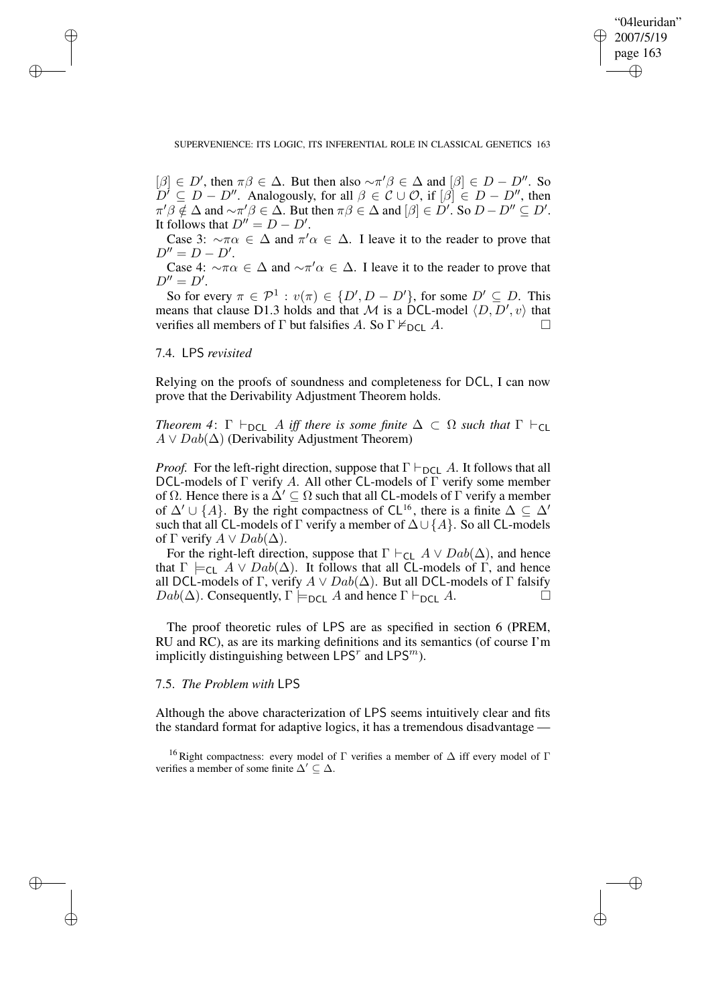✐

## SUPERVENIENCE: ITS LOGIC, ITS INFERENTIAL ROLE IN CLASSICAL GENETICS 163

 $[\beta] \in D'$ , then  $\pi \beta \in \Delta$ . But then also  $\sim \pi' \beta \in \Delta$  and  $[\beta] \in D - D''$ . So  $\tilde{D}^j \subseteq D - D''$ . Analogously, for all  $\beta \in \mathcal{C} \cup \mathcal{O}$ , if  $[\beta] \in D - D''$ , then  $\pi' \beta \notin \Delta$  and  $\sim \pi' \beta \in \Delta$ . But then  $\pi \beta \in \Delta$  and  $[\beta] \in \dot{D}'$ . So  $D - D'' \subseteq D'$ . It follows that  $D'' = D - D'$ .

Case 3:  $\sim \pi \alpha \in \Delta$  and  $\pi' \alpha \in \Delta$ . I leave it to the reader to prove that  $D'' = D - D'.$ 

Case 4:  $\sim \pi \alpha \in \Delta$  and  $\sim \pi' \alpha \in \Delta$ . I leave it to the reader to prove that  $D''=D'.$ 

So for every  $\pi \in \mathcal{P}^1 : v(\pi) \in \{D', D - D'\}$ , for some  $D' \subseteq D$ . This means that clause D1.3 holds and that M is a DCL-model  $(D, D', v)$  that verifies all members of  $\Gamma$  but falsifies A. So  $\Gamma \nvDash_{\text{DCL}} A$ .

## 7.4. LPS *revisited*

✐

✐

✐

✐

Relying on the proofs of soundness and completeness for DCL, I can now prove that the Derivability Adjustment Theorem holds.

*Theorem* 4:  $\Gamma \vdash_{\text{DCL}} A$  *iff there is some finite*  $\Delta \subset \Omega$  *such that*  $\Gamma \vdash_{\text{CL}}$  $A \vee Dab(\Delta)$  (Derivability Adjustment Theorem)

*Proof.* For the left-right direction, suppose that  $\Gamma \vdash_{DCL} A$ . It follows that all DCL-models of  $\Gamma$  verify A. All other CL-models of  $\Gamma$  verify some member of Ω. Hence there is a  $\Delta' \subseteq \Omega$  such that all CL-models of Γ verify a member of  $\Delta' \cup \{A\}$ . By the right compactness of CL<sup>16</sup>, there is a finite  $\Delta \subseteq \Delta'$ such that all CL-models of  $\Gamma$  verify a member of  $\Delta \cup \{A\}$ . So all CL-models of  $\Gamma$  verify  $A \vee Dab(\Delta)$ .

For the right-left direction, suppose that  $\Gamma \vdash_{\mathsf{CL}} A \lor Dab(\Delta)$ , and hence that  $\Gamma \models_{CL} A \lor Dab(\Delta)$ . It follows that all CL-models of  $\Gamma$ , and hence all DCL-models of Γ, verify  $A \vee Dab(\Delta)$ . But all DCL-models of Γ falsify  $Dab(\Delta)$ . Consequently,  $\Gamma \models_{\textsf{DCL}} A$  and hence  $\Gamma \vdash_{\textsf{DCL}} A$ .

The proof theoretic rules of LPS are as specified in section 6 (PREM, RU and RC), as are its marking definitions and its semantics (of course I'm implicitly distinguishing between LPS<sup>r</sup> and LPS<sup>m</sup>).

## 7.5. *The Problem with* LPS

Although the above characterization of LPS seems intuitively clear and fits the standard format for adaptive logics, it has a tremendous disadvantage —

<sup>16</sup> Right compactness: every model of  $\Gamma$  verifies a member of  $\Delta$  iff every model of  $\Gamma$ verifies a member of some finite  $\Delta' \subset \Delta$ .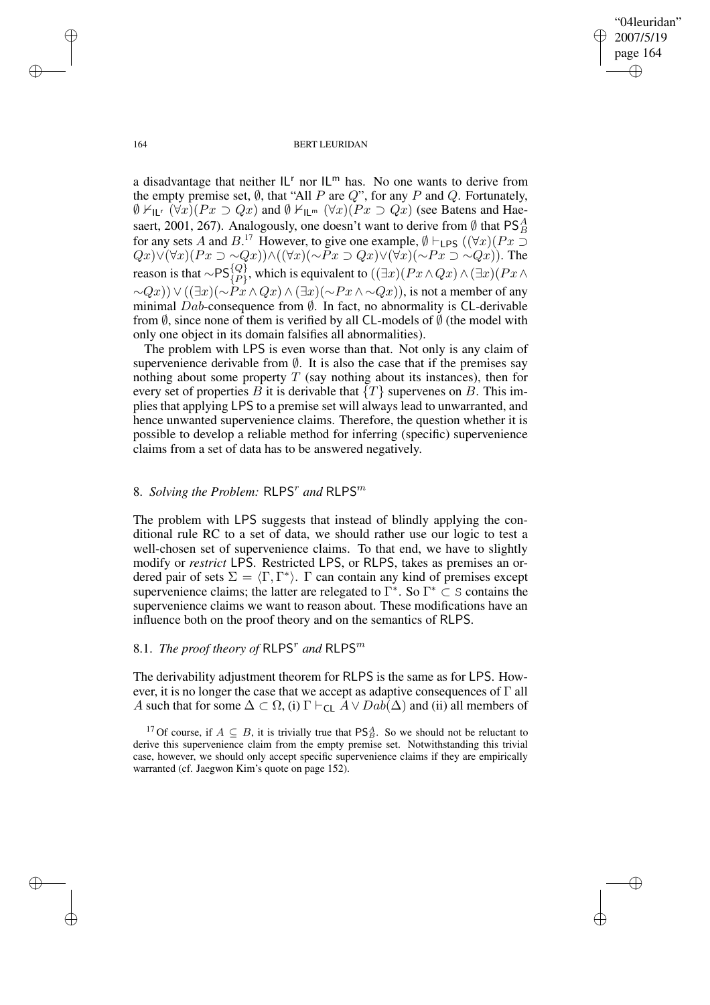"04leuridan" 2007/5/19 page 164 ✐ ✐

✐

✐

#### 164 BERT LEURIDAN

a disadvantage that neither  $|L^r|$  nor  $|L^m|$  has. No one wants to derive from the empty premise set,  $\emptyset$ , that "All P are Q", for any P and Q. Fortunately,  $\emptyset$   $\vdash$ <sub>ILr</sub>  $(\forall x)(Px \supset Qx)$  and  $\emptyset$   $\vdash$ <sub>IL<sup>m</sup></sub>  $(\forall x)(Px \supset Qx)$  (see Batens and Haesaert, 2001, 267). Analogously, one doesn't want to derive from  $\emptyset$  that PS $^A_B$ for any sets A and B.<sup>17</sup> However, to give one example,  $\emptyset \vdash_{\mathsf{LPS}} ((\forall x)(Px \supset$ Qx)∨(∀x)( $Px \supset \sim Qx$ ))∧((∀x)( $\sim Px \supset Qx$ )∨(∀x)( $\sim Px \supset \sim Qx$ )). The reason is that  $\sim$ PS $\{Q\}\atop{\{P\}}$ , which is equivalent to  $((\exists x)(Px\wedge Qx)\wedge (\exists x)(Px\wedge Qx))$  $\sim Q(x)$ )  $\vee ((\exists x)(\sim P\vec{x} \wedge Qx) \wedge (\exists x)(\sim P\vec{x} \wedge \sim Qx))$ , is not a member of any minimal  $Dab$ -consequence from  $\emptyset$ . In fact, no abnormality is CL-derivable from  $\emptyset$ , since none of them is verified by all CL-models of  $\emptyset$  (the model with only one object in its domain falsifies all abnormalities).

The problem with LPS is even worse than that. Not only is any claim of supervenience derivable from  $\emptyset$ . It is also the case that if the premises say nothing about some property  $T$  (say nothing about its instances), then for every set of properties B it is derivable that  $\{T\}$  supervenes on B. This implies that applying LPS to a premise set will always lead to unwarranted, and hence unwanted supervenience claims. Therefore, the question whether it is possible to develop a reliable method for inferring (specific) supervenience claims from a set of data has to be answered negatively.

## 8. Solving the Problem: RLPS<sup>r</sup> and RLPS<sup>m</sup>

The problem with LPS suggests that instead of blindly applying the conditional rule RC to a set of data, we should rather use our logic to test a well-chosen set of supervenience claims. To that end, we have to slightly modify or *restrict* LPS. Restricted LPS, or RLPS, takes as premises an ordered pair of sets  $\Sigma = \langle \Gamma, \Gamma^* \rangle$ . Γ can contain any kind of premises except supervenience claims; the latter are relegated to  $\Gamma^*$ . So  $\Gamma^* \subset S$  contains the supervenience claims we want to reason about. These modifications have an influence both on the proof theory and on the semantics of RLPS.

## 8.1. *The proof theory of*  $\mathsf{RLPS}^r$  and  $\mathsf{RLPS}^m$

The derivability adjustment theorem for RLPS is the same as for LPS. However, it is no longer the case that we accept as adaptive consequences of Γ all A such that for some  $\Delta \subset \Omega$ , (i)  $\Gamma \vdash_{\text{CL}} A \lor Dab(\Delta)$  and (ii) all members of

<sup>17</sup> Of course, if  $A \subseteq B$ , it is trivially true that  $PS<sup>A</sup><sub>B</sub>$ . So we should not be reluctant to derive this supervenience claim from the empty premise set. Notwithstanding this trivial case, however, we should only accept specific supervenience claims if they are empirically warranted (cf. Jaegwon Kim's quote on page 152).

✐

✐

✐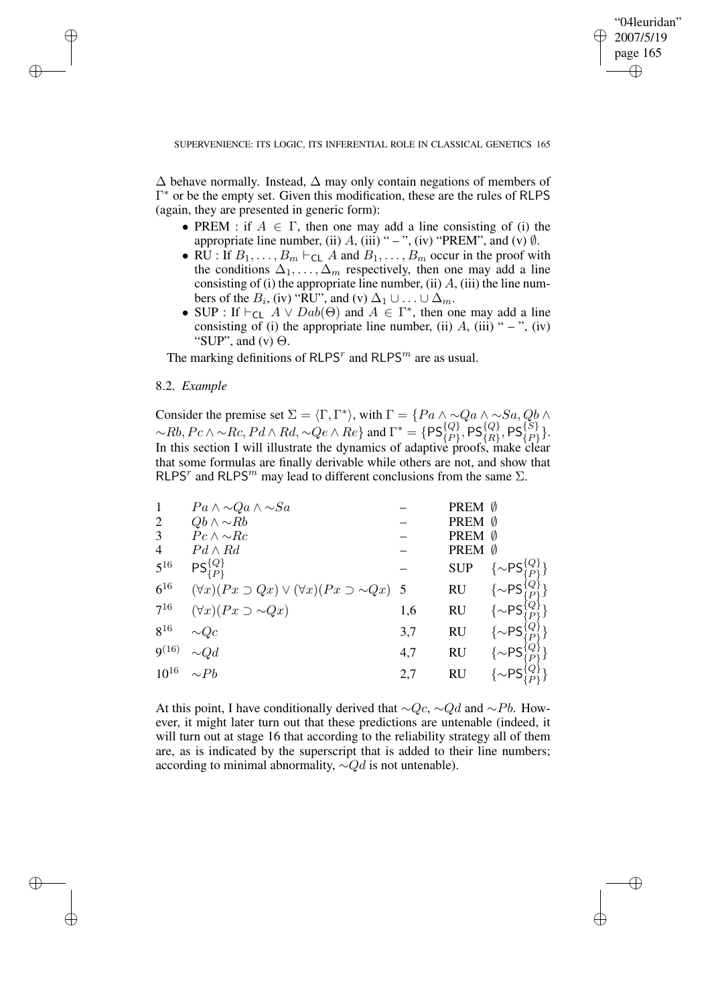✐

## SUPERVENIENCE: ITS LOGIC, ITS INFERENTIAL ROLE IN CLASSICAL GENETICS 165

 $\Delta$  behave normally. Instead,  $\Delta$  may only contain negations of members of Γ <sup>∗</sup> or be the empty set. Given this modification, these are the rules of RLPS (again, they are presented in generic form):

- PREM : if  $A \in \Gamma$ , then one may add a line consisting of (i) the appropriate line number, (ii)  $A$ , (iii) " – ", (iv) "PREM", and (v)  $\emptyset$ .
- RU : If  $B_1, \ldots, B_m \vdash_{\text{CL}} A$  and  $B_1, \ldots, B_m$  occur in the proof with the conditions  $\Delta_1, \ldots, \Delta_m$  respectively, then one may add a line consisting of (i) the appropriate line number, (ii)  $A$ , (iii) the line numbers of the  $B_i$ , (iv) "RU", and (v)  $\Delta_1 \cup ... \cup \Delta_m$ .
- SUP : If  $\vdash_{CL} A \lor Dab(\Theta)$  and  $A \in \Gamma^*$ , then one may add a line consisting of (i) the appropriate line number, (ii)  $A$ , (iii) " – ", (iv) "SUP", and  $(v) \Theta$ .

The marking definitions of RLPS<sup>*r*</sup> and RLPS<sup>*m*</sup> are as usual.

## 8.2. *Example*

✐

✐

✐

✐

Consider the premise set  $\Sigma = \langle \Gamma, \Gamma^* \rangle$ , with  $\Gamma = \{Pa \land \sim Qa \land \sim Sa, Qb \land \Gamma\}$  $~\sim$ Rb,  $Pc \wedge \sim$ Rc,  $Pd \wedge Rd, \sim Qe \wedge Re$  and  $\Gamma^* = \{PS_{\{P\}}^{\{Q\}}, PS_{\{R\}}^{\{Q\}}, PS_{\{P\}}^{\{S\}}\}.$ In this section I will illustrate the dynamics of adaptive proofs, make clear that some formulas are finally derivable while others are not, and show that RLPS<sup>r</sup> and RLPS<sup>m</sup> may lead to different conclusions from the same  $\Sigma$ .

| $\mathbf{1}$   | $Pa \wedge \sim Qa \wedge \sim Sa$                                  |     | PREM Ø     |                                       |
|----------------|---------------------------------------------------------------------|-----|------------|---------------------------------------|
| $\overline{c}$ | $Qb \wedge \sim Rb$                                                 |     | PREM Ø     |                                       |
| 3              | $Pc \wedge \sim Rc$                                                 |     | PREM Ø     |                                       |
| 4              | $Pd \wedge Rd$                                                      |     | PREM Ø     |                                       |
| $5^{16}$       | $PS_{\{P\}}^{\{Q\}}$                                                |     | <b>SUP</b> | $\sim$ PS $\{Q\}\choose{P}$           |
| $6^{16}$       | $(\forall x)(Px \supset Qx) \vee (\forall x)(Px \supset \sim Qx)$ 5 |     | <b>RU</b>  | $\{\sim\!\mathsf{PS}_1^\mathcal{N}\}$ |
| $7^{16}$       | $(\forall x)(Px \supset \sim Qx)$                                   | 1,6 | <b>RU</b>  | $\{\sim PS$                           |
| $8^{16}$       | $\sim\!Qc$                                                          | 3,7 | RU         | $\{\sim PS$                           |
| $9^{(16)}$     | $\sim Qd$                                                           | 4,7 | <b>RU</b>  | $\{\sim PS$                           |
| $10^{16}$      | $\sim Pb$                                                           | 2,7 | <b>RU</b>  | $\{\sim\!\mathsf{PS}^\dagger$         |
|                |                                                                     |     |            |                                       |

At this point, I have conditionally derived that  $\sim Q_c$ ,  $\sim Qd$  and  $\sim Pb$ . However, it might later turn out that these predictions are untenable (indeed, it will turn out at stage 16 that according to the reliability strategy all of them are, as is indicated by the superscript that is added to their line numbers; according to minimal abnormality,  $\sim Qd$  is not untenable).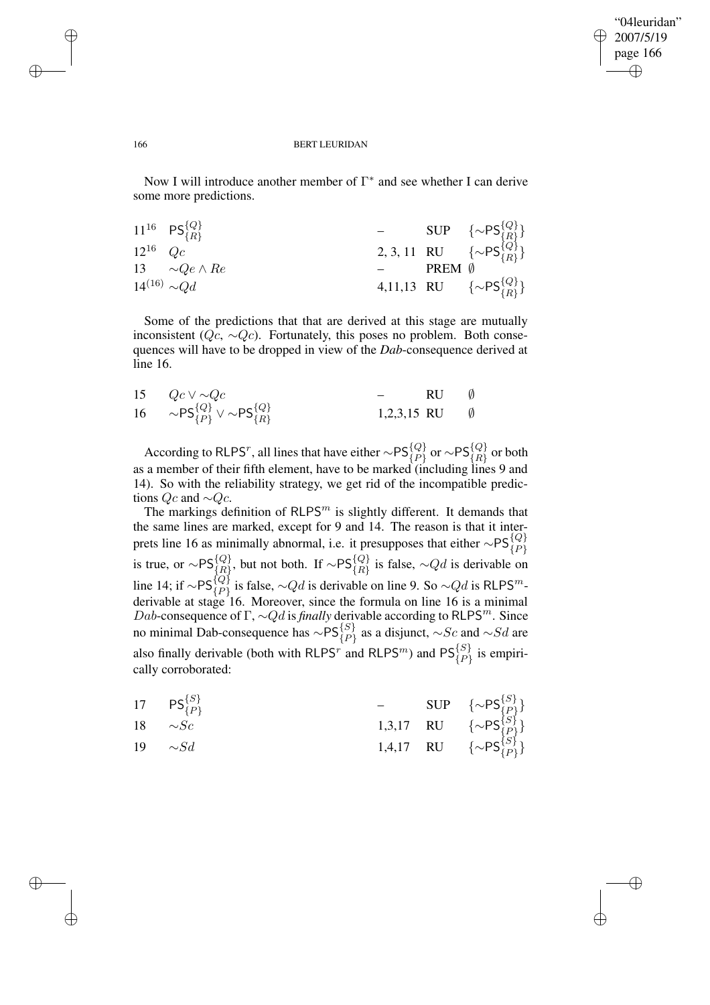✐

#### 166 BERT LEURIDAN

Now I will introduce another member of  $\Gamma^*$  and see whether I can derive some more predictions.

|                     | $11^{16}$ PS $\{Q\}$ <sub><math>\{R\}</math></sub> |        | - SUP $\{\sim PS_{\{R\}}^{\{Q\}}\}$<br>2, 3, 11 RU $\{\sim PS_{\{R\}}^{\{Q\}}\}$ |
|---------------------|----------------------------------------------------|--------|----------------------------------------------------------------------------------|
| $12^{16}$ Qc        |                                                    |        |                                                                                  |
|                     | 13 $\sim Qe \wedge Re$                             | PREM Ø |                                                                                  |
| $14^{(16)} \sim Qd$ |                                                    |        | 4,11,13 RU $\{\sim PS_{\{R\}}^{\{Q\}}\}$                                         |

Some of the predictions that that are derived at this stage are mutually inconsistent ( $Qc$ ,  $\sim Qc$ ). Fortunately, this poses no problem. Both consequences will have to be dropped in view of the *Dab*-consequence derived at line 16.

| 15 $Qc \vee \sim Qc$                                                      | RU                      | $\emptyset$ |
|---------------------------------------------------------------------------|-------------------------|-------------|
| 16 $\sim$ PS $\{P\}^{\{Q\}}_{\{P\}} \vee \sim$ PS $\{R\}^{\{Q\}}_{\{R\}}$ | 1,2,3,15 RU $\emptyset$ |             |

According to RLPS<sup>r</sup>, all lines that have either  $\sim$ PS $^{\{Q\}}_{\{P\}}$  or  $\sim$ PS $^{\{Q\}}_{\{R\}}$  or both as a member of their fifth element, have to be marked (including lines 9 and 14). So with the reliability strategy, we get rid of the incompatible predictions  $Qc$  and  $\sim Qc$ .

The markings definition of  $RLPS<sup>m</sup>$  is slightly different. It demands that the same lines are marked, except for 9 and 14. The reason is that it interprets line 16 as minimally abnormal, i.e. it presupposes that either  $\sim P\mathsf{S}_{\{P\}}^{\{Q\}}$  is true, or  $\sim P\mathsf{S}_{\{R\}}^{\{Q\}}$ , but not both. If  $\sim P\mathsf{S}_{\{R\}}^{\{Q\}}$  is false,  $\sim Qd$  is derivable on line 14; if  $\sim$ PS $_{\{P\}}^{\{Q\}}$  is false,  $\sim$ Qd is derivable on line 9. So  $\sim$ Qd is RLPS<sup>m</sup>derivable at stage 16. Moreover, since the formula on line 16 is a minimal Dab-consequence of  $\Gamma$ ,  $\sim Qd$  is *finally* derivable according to RLPS<sup>m</sup>. Since no minimal Dab-consequence has  $\sim$ PS $_{\{P\}}^{\{S\}}$  as a disjunct,  $\sim$ Sc and  $\sim$ Sd are also finally derivable (both with RLPS<sup>r</sup> and RLPS<sup>m</sup>) and  $PS_{\{P\}}^{\{S\}}$  is empirically corroborated:

|    | 17 $PS_{\{P\}}^{\{S\}}$ |  |                                                                                                                           |
|----|-------------------------|--|---------------------------------------------------------------------------------------------------------------------------|
|    | 18 $\sim$ Sc            |  |                                                                                                                           |
| 19 | $\sim Sd$               |  | - SUP $\{\sim PS_{\{P\}}^{\{S\}}\}$<br>1,3,17 RU $\{\sim PS_{\{P\}}^{\{S\}}\}$<br>1,4,17 RU $\{\sim PS_{\{P\}}^{\{S\}}\}$ |

✐

✐

✐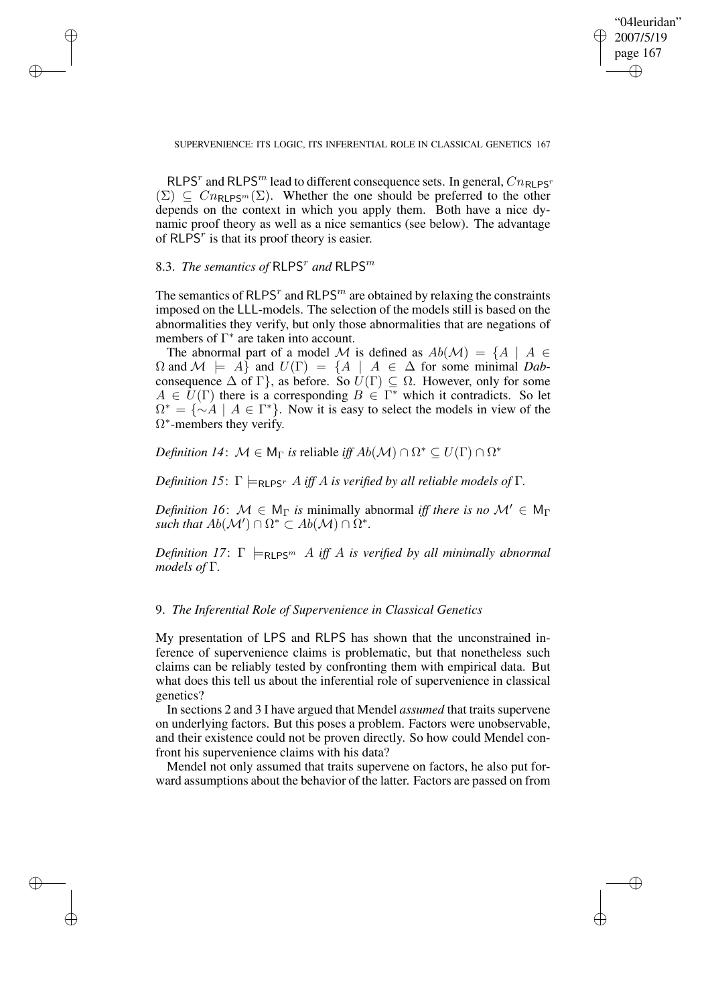✐

SUPERVENIENCE: ITS LOGIC, ITS INFERENTIAL ROLE IN CLASSICAL GENETICS 167

RLPS<sup>r</sup> and RLPS<sup>m</sup> lead to different consequence sets. In general,  $Cn_{\text{RLPS}}$  $(\Sigma) \subseteq Cn_{\mathsf{RLPS}^m}(\Sigma)$ . Whether the one should be preferred to the other depends on the context in which you apply them. Both have a nice dynamic proof theory as well as a nice semantics (see below). The advantage of RLPS<sup>r</sup> is that its proof theory is easier.

## 8.3. *The semantics of*  $\mathsf{RLPS}^r$  and  $\mathsf{RLPS}^m$

✐

✐

✐

✐

The semantics of RLPS<sup> $r$ </sup> and RLPS<sup> $m$ </sup> are obtained by relaxing the constraints imposed on the LLL-models. The selection of the models still is based on the abnormalities they verify, but only those abnormalities that are negations of members of  $\Gamma^*$  are taken into account.

The abnormal part of a model M is defined as  $Ab(\mathcal{M}) = \{A \mid A \in$  $\Omega$  and  $\mathcal{M} \models A$  and  $U(\Gamma) = \{A \mid A \in \Delta \text{ for some minimal } Dab - D\}$ consequence  $\Delta$  of  $\Gamma$ }, as before. So  $U(\Gamma) \subseteq \Omega$ . However, only for some  $A \in \overline{U}(\Gamma)$  there is a corresponding  $B \in \Gamma^*$  which it contradicts. So let  $\Omega^* = \{\sim A \mid A \in \Gamma^*\}.$  Now it is easy to select the models in view of the  $\Omega^*$ -members they verify.

*Definition 14*:  $\mathcal{M} \in M_{\Gamma}$  *is* reliable *iff*  $Ab(\mathcal{M}) \cap \Omega^* \subseteq U(\Gamma) \cap \Omega^*$ 

*Definition* 15:  $\Gamma \models_{\text{RI PS}^r} A$  *iff* A *is verified by all reliable models of*  $\Gamma$ *.* 

*Definition* 16:  $M \in M_{\Gamma}$  *is* minimally abnormal *iff there is no*  $M' \in M_{\Gamma}$ *such that*  $Ab(\mathcal{M}') \cap \Omega^* \subset Ab(\mathcal{M}) \cap \Omega^*$ .

*Definition* 17:  $\Gamma \models_{\text{RLPS}^m} A$  *iff* A *is verified by all minimally abnormal models of* Γ*.*

## 9. *The Inferential Role of Supervenience in Classical Genetics*

My presentation of LPS and RLPS has shown that the unconstrained inference of supervenience claims is problematic, but that nonetheless such claims can be reliably tested by confronting them with empirical data. But what does this tell us about the inferential role of supervenience in classical genetics?

In sections 2 and 3 I have argued that Mendel *assumed* that traits supervene on underlying factors. But this poses a problem. Factors were unobservable, and their existence could not be proven directly. So how could Mendel confront his supervenience claims with his data?

Mendel not only assumed that traits supervene on factors, he also put forward assumptions about the behavior of the latter. Factors are passed on from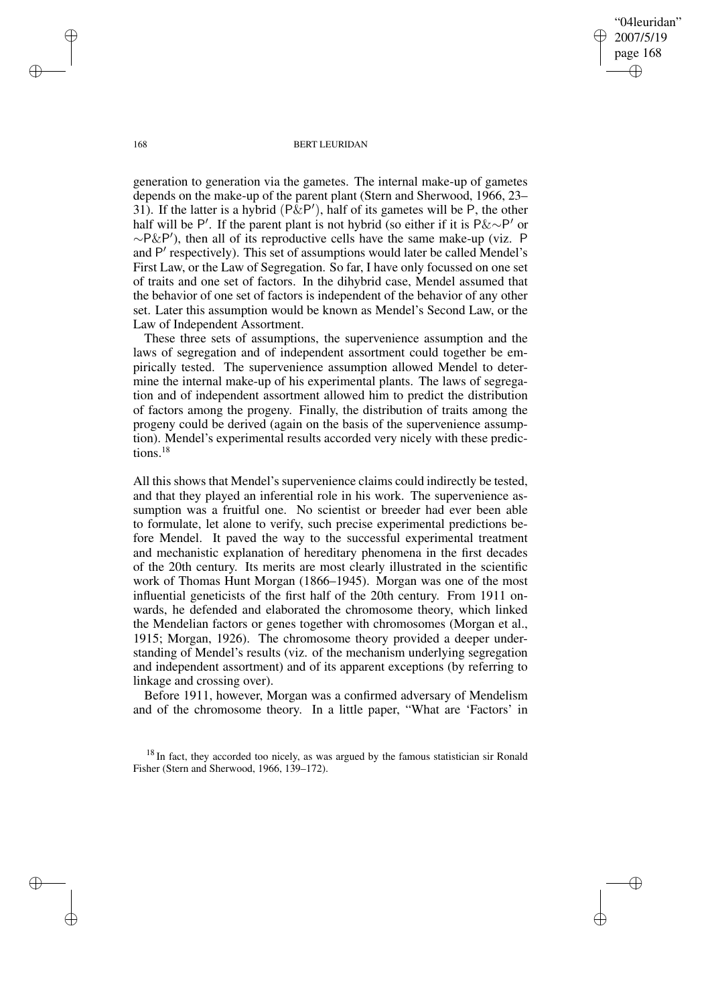"04leuridan" 2007/5/19 page 168 ✐ ✐

✐

✐

#### 168 BERT LEURIDAN

generation to generation via the gametes. The internal make-up of gametes depends on the make-up of the parent plant (Stern and Sherwood, 1966, 23– 31). If the latter is a hybrid ( $\angle P\&P'$ ), half of its gametes will be P, the other half will be P'. If the parent plant is not hybrid (so either if it is  $P \& \sim P'$  or ∼P&P 0 ), then all of its reproductive cells have the same make-up (viz. P and P' respectively). This set of assumptions would later be called Mendel's First Law, or the Law of Segregation. So far, I have only focussed on one set of traits and one set of factors. In the dihybrid case, Mendel assumed that the behavior of one set of factors is independent of the behavior of any other set. Later this assumption would be known as Mendel's Second Law, or the Law of Independent Assortment.

These three sets of assumptions, the supervenience assumption and the laws of segregation and of independent assortment could together be empirically tested. The supervenience assumption allowed Mendel to determine the internal make-up of his experimental plants. The laws of segregation and of independent assortment allowed him to predict the distribution of factors among the progeny. Finally, the distribution of traits among the progeny could be derived (again on the basis of the supervenience assumption). Mendel's experimental results accorded very nicely with these predictions.<sup>18</sup>

All this shows that Mendel's supervenience claims could indirectly be tested, and that they played an inferential role in his work. The supervenience assumption was a fruitful one. No scientist or breeder had ever been able to formulate, let alone to verify, such precise experimental predictions before Mendel. It paved the way to the successful experimental treatment and mechanistic explanation of hereditary phenomena in the first decades of the 20th century. Its merits are most clearly illustrated in the scientific work of Thomas Hunt Morgan (1866–1945). Morgan was one of the most influential geneticists of the first half of the 20th century. From 1911 onwards, he defended and elaborated the chromosome theory, which linked the Mendelian factors or genes together with chromosomes (Morgan et al., 1915; Morgan, 1926). The chromosome theory provided a deeper understanding of Mendel's results (viz. of the mechanism underlying segregation and independent assortment) and of its apparent exceptions (by referring to linkage and crossing over).

Before 1911, however, Morgan was a confirmed adversary of Mendelism and of the chromosome theory. In a little paper, "What are 'Factors' in

<sup>18</sup> In fact, they accorded too nicely, as was argued by the famous statistician sir Ronald Fisher (Stern and Sherwood, 1966, 139–172).

✐

✐

✐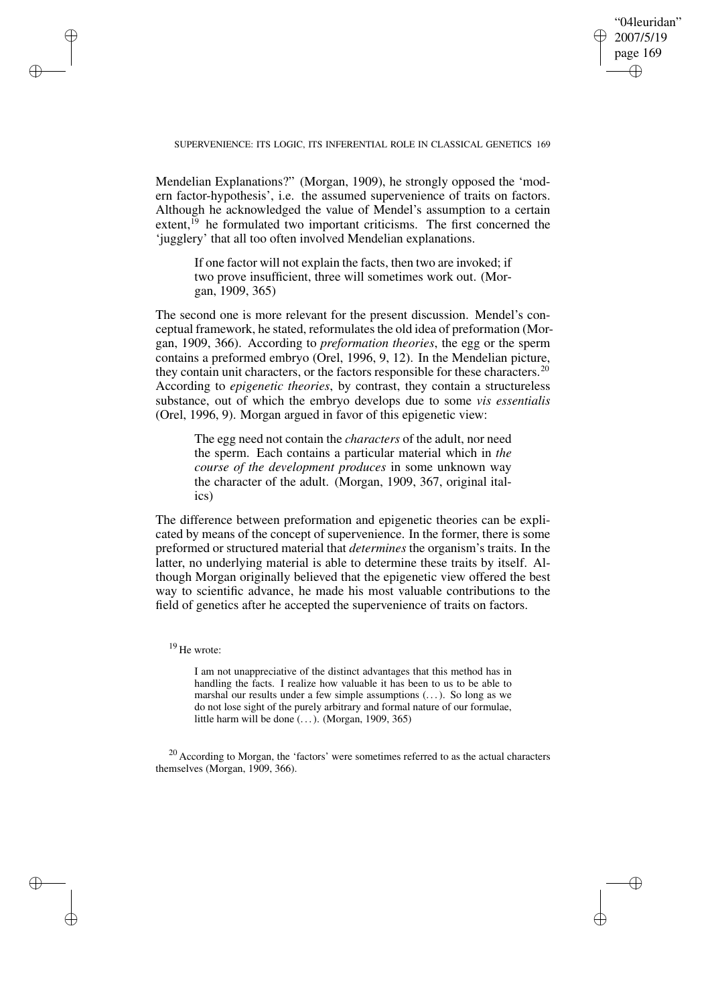✐

### SUPERVENIENCE: ITS LOGIC, ITS INFERENTIAL ROLE IN CLASSICAL GENETICS 169

Mendelian Explanations?" (Morgan, 1909), he strongly opposed the 'modern factor-hypothesis', i.e. the assumed supervenience of traits on factors. Although he acknowledged the value of Mendel's assumption to a certain extent.<sup>19</sup> he formulated two important criticisms. The first concerned the 'jugglery' that all too often involved Mendelian explanations.

If one factor will not explain the facts, then two are invoked; if two prove insufficient, three will sometimes work out. (Morgan, 1909, 365)

The second one is more relevant for the present discussion. Mendel's conceptual framework, he stated, reformulates the old idea of preformation (Morgan, 1909, 366). According to *preformation theories*, the egg or the sperm contains a preformed embryo (Orel, 1996, 9, 12). In the Mendelian picture, they contain unit characters, or the factors responsible for these characters.<sup>20</sup> According to *epigenetic theories*, by contrast, they contain a structureless substance, out of which the embryo develops due to some *vis essentialis* (Orel, 1996, 9). Morgan argued in favor of this epigenetic view:

The egg need not contain the *characters* of the adult, nor need the sperm. Each contains a particular material which in *the course of the development produces* in some unknown way the character of the adult. (Morgan, 1909, 367, original italics)

The difference between preformation and epigenetic theories can be explicated by means of the concept of supervenience. In the former, there is some preformed or structured material that *determines* the organism's traits. In the latter, no underlying material is able to determine these traits by itself. Although Morgan originally believed that the epigenetic view offered the best way to scientific advance, he made his most valuable contributions to the field of genetics after he accepted the supervenience of traits on factors.

## <sup>19</sup> He wrote:

✐

✐

✐

✐

I am not unappreciative of the distinct advantages that this method has in handling the facts. I realize how valuable it has been to us to be able to marshal our results under a few simple assumptions (. . .). So long as we do not lose sight of the purely arbitrary and formal nature of our formulae, little harm will be done  $(\dots)$ . (Morgan, 1909, 365)

 $20$  According to Morgan, the 'factors' were sometimes referred to as the actual characters themselves (Morgan, 1909, 366).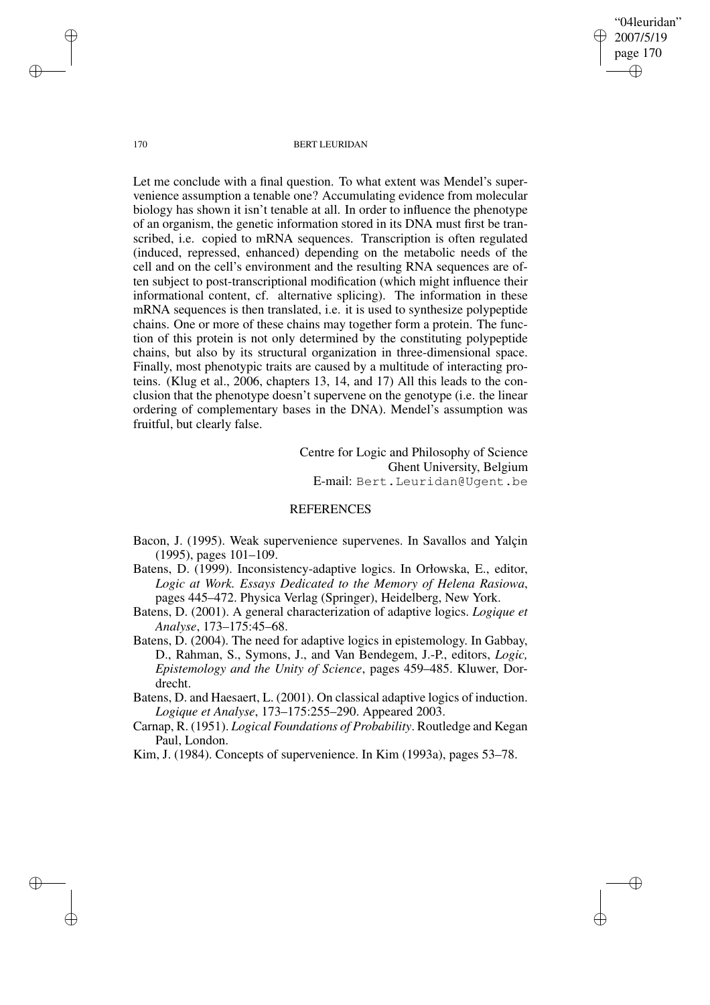"04leuridan" 2007/5/19 page 170 ✐ ✐

✐

✐

#### 170 BERT LEURIDAN

Let me conclude with a final question. To what extent was Mendel's supervenience assumption a tenable one? Accumulating evidence from molecular biology has shown it isn't tenable at all. In order to influence the phenotype of an organism, the genetic information stored in its DNA must first be transcribed, i.e. copied to mRNA sequences. Transcription is often regulated (induced, repressed, enhanced) depending on the metabolic needs of the cell and on the cell's environment and the resulting RNA sequences are often subject to post-transcriptional modification (which might influence their informational content, cf. alternative splicing). The information in these mRNA sequences is then translated, i.e. it is used to synthesize polypeptide chains. One or more of these chains may together form a protein. The function of this protein is not only determined by the constituting polypeptide chains, but also by its structural organization in three-dimensional space. Finally, most phenotypic traits are caused by a multitude of interacting proteins. (Klug et al., 2006, chapters 13, 14, and 17) All this leads to the conclusion that the phenotype doesn't supervene on the genotype (i.e. the linear ordering of complementary bases in the DNA). Mendel's assumption was fruitful, but clearly false.

> Centre for Logic and Philosophy of Science Ghent University, Belgium E-mail: Bert.Leuridan@Ugent.be

## **REFERENCES**

- Bacon, J. (1995). Weak supervenience supervenes. In Savallos and Yalçin (1995), pages 101–109.
- Batens, D. (1999). Inconsistency-adaptive logics. In Orłowska, E., editor, *Logic at Work. Essays Dedicated to the Memory of Helena Rasiowa*, pages 445–472. Physica Verlag (Springer), Heidelberg, New York.
- Batens, D. (2001). A general characterization of adaptive logics. *Logique et Analyse*, 173–175:45–68.
- Batens, D. (2004). The need for adaptive logics in epistemology. In Gabbay, D., Rahman, S., Symons, J., and Van Bendegem, J.-P., editors, *Logic, Epistemology and the Unity of Science*, pages 459–485. Kluwer, Dordrecht.
- Batens, D. and Haesaert, L. (2001). On classical adaptive logics of induction. *Logique et Analyse*, 173–175:255–290. Appeared 2003.
- Carnap, R. (1951). *Logical Foundations of Probability*. Routledge and Kegan Paul, London.
- Kim, J. (1984). Concepts of supervenience. In Kim (1993a), pages 53–78.

✐

✐

✐